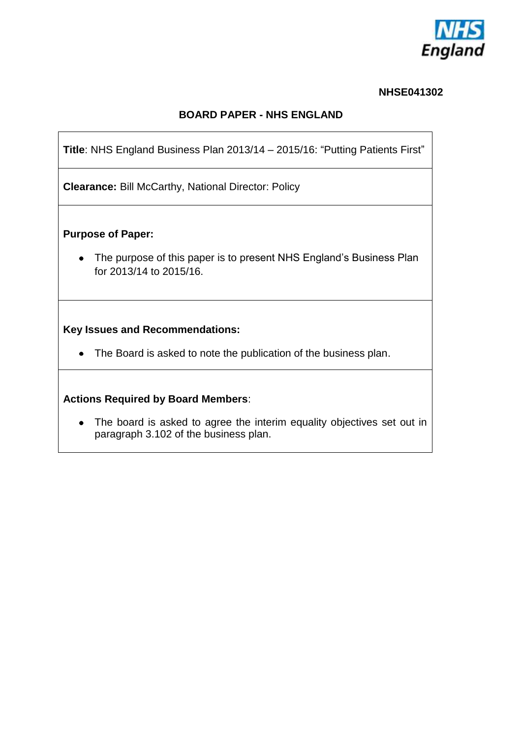

#### **NHSE041302**

#### **BOARD PAPER - NHS ENGLAND**

**Title**: NHS England Business Plan 2013/14 – 2015/16: "Putting Patients First"

**Clearance:** Bill McCarthy, National Director: Policy

**Purpose of Paper:** 

• The purpose of this paper is to present NHS England's Business Plan for 2013/14 to 2015/16.

#### **Key Issues and Recommendations:**

• The Board is asked to note the publication of the business plan.

#### **Actions Required by Board Members**:

• The board is asked to agree the interim equality objectives set out in paragraph 3.102 of the business plan.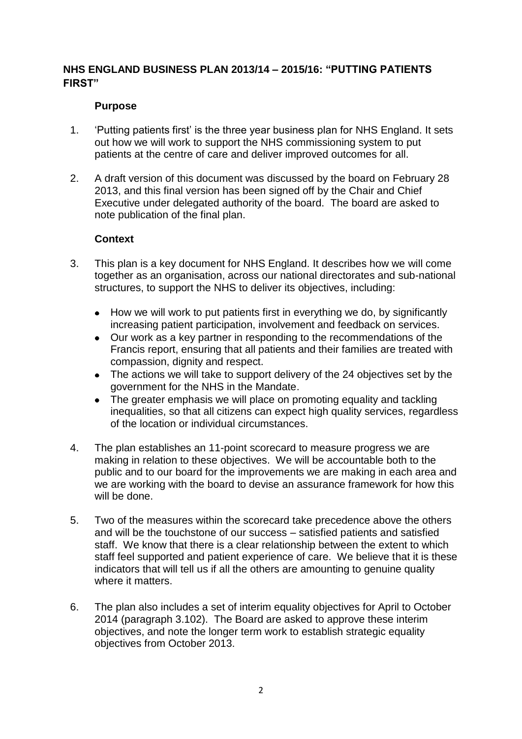#### **NHS ENGLAND BUSINESS PLAN 2013/14 – 2015/16: "PUTTING PATIENTS FIRST"**

#### **Purpose**

- 1. "Putting patients first" is the three year business plan for NHS England. It sets out how we will work to support the NHS commissioning system to put patients at the centre of care and deliver improved outcomes for all.
- 2. A draft version of this document was discussed by the board on February 28 2013, and this final version has been signed off by the Chair and Chief Executive under delegated authority of the board. The board are asked to note publication of the final plan.

#### **Context**

- 3. This plan is a key document for NHS England. It describes how we will come together as an organisation, across our national directorates and sub-national structures, to support the NHS to deliver its objectives, including:
	- How we will work to put patients first in everything we do, by significantly increasing patient participation, involvement and feedback on services.
	- Our work as a key partner in responding to the recommendations of the  $\bullet$ Francis report, ensuring that all patients and their families are treated with compassion, dignity and respect.
	- The actions we will take to support delivery of the 24 objectives set by the government for the NHS in the Mandate.
	- The greater emphasis we will place on promoting equality and tackling inequalities, so that all citizens can expect high quality services, regardless of the location or individual circumstances.
- 4. The plan establishes an 11-point scorecard to measure progress we are making in relation to these objectives. We will be accountable both to the public and to our board for the improvements we are making in each area and we are working with the board to devise an assurance framework for how this will be done.
- 5. Two of the measures within the scorecard take precedence above the others and will be the touchstone of our success – satisfied patients and satisfied staff. We know that there is a clear relationship between the extent to which staff feel supported and patient experience of care. We believe that it is these indicators that will tell us if all the others are amounting to genuine quality where it matters.
- 6. The plan also includes a set of interim equality objectives for April to October 2014 (paragraph 3.102). The Board are asked to approve these interim objectives, and note the longer term work to establish strategic equality objectives from October 2013.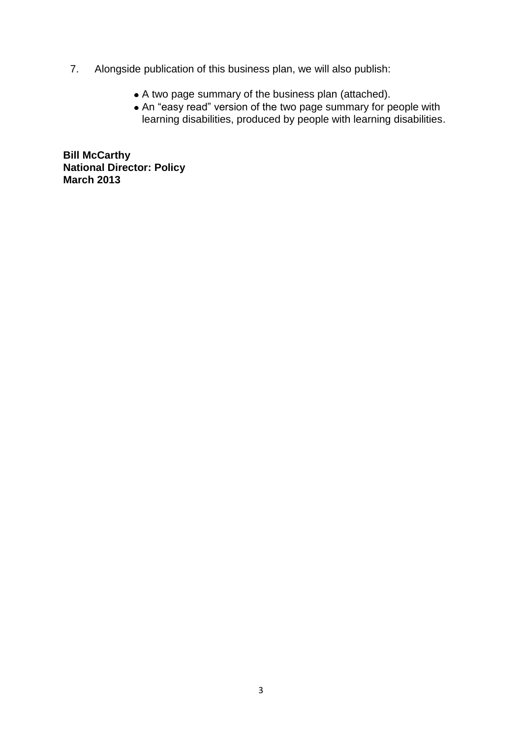- 7. Alongside publication of this business plan, we will also publish:
	- A two page summary of the business plan (attached).
	- An "easy read" version of the two page summary for people with learning disabilities, produced by people with learning disabilities.

**Bill McCarthy National Director: Policy March 2013**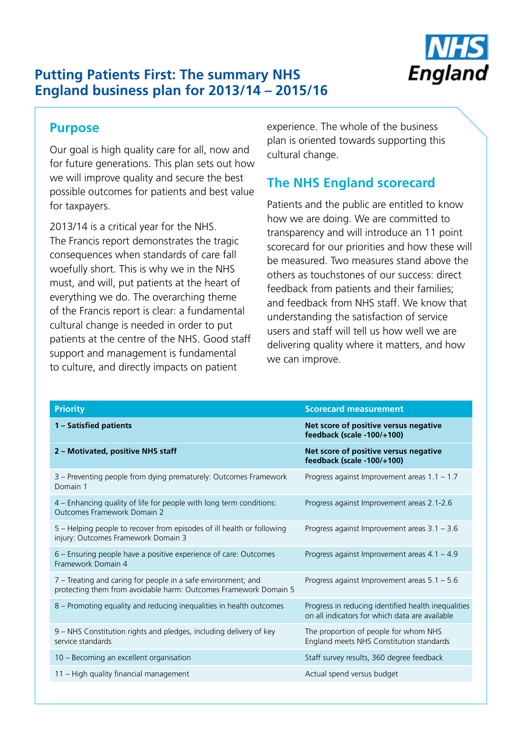

## **Putting Patients First: The summary NHS England business plan for 2013/14 – 2015/16**

#### **Purpose**

Our goal is high quality care for all, now and for future generations. This plan sets out how we will improve quality and secure the best possible outcomes for patients and best value for taxpayers.

2013/14 is a critical year for the NHS. The Francis report demonstrates the tragic consequences when standards of care fall woefully short. This is why we in the NHS must, and will, put patients at the heart of everything we do. The overarching theme of the Francis report is clear: a fundamental cultural change is needed in order to put patients at the centre of the NHS. Good staff support and management is fundamental to culture, and directly impacts on patient

 plan is oriented towards supporting this experience. The whole of the business cultural change.

## **The NHS England scorecard**

Patients and the public are entitled to know how we are doing. We are committed to transparency and will introduce an 11 point scorecard for our priorities and how these will be measured. Two measures stand above the others as touchstones of our success: direct feedback from patients and their families; and feedback from NHS staff. We know that understanding the satisfaction of service users and staff will tell us how well we are delivering quality where it matters, and how we can improve.

| <b>Priority</b>                                                                                                                   | <b>Scorecard measurement</b>                                                                          |
|-----------------------------------------------------------------------------------------------------------------------------------|-------------------------------------------------------------------------------------------------------|
| 1 - Satisfied patients                                                                                                            | Net score of positive versus negative<br>feedback (scale -100/+100)                                   |
| 2 - Motivated, positive NHS staff                                                                                                 | Net score of positive versus negative<br>feedback (scale -100/+100)                                   |
| 3 - Preventing people from dying prematurely: Outcomes Framework<br>Domain 1                                                      | Progress against Improvement areas $1.1 - 1.7$                                                        |
| 4 - Enhancing quality of life for people with long term conditions:<br>Outcomes Framework Domain 2                                | Progress against Improvement areas 2.1-2.6                                                            |
| 5 - Helping people to recover from episodes of ill health or following<br>injury: Outcomes Framework Domain 3                     | Progress against Improvement areas 3.1 - 3.6                                                          |
| 6 - Ensuring people have a positive experience of care: Outcomes<br>Framework Domain 4                                            | Progress against Improvement areas 4.1 - 4.9                                                          |
| 7 – Treating and caring for people in a safe environment; and<br>protecting them from avoidable harm: Outcomes Framework Domain 5 | Progress against Improvement areas 5.1 - 5.6                                                          |
| 8 – Promoting equality and reducing inequalities in health outcomes                                                               | Progress in reducing identified health inequalities<br>on all indicators for which data are available |
| 9 - NHS Constitution rights and pledges, including delivery of key<br>service standards                                           | The proportion of people for whom NHS<br>England meets NHS Constitution standards                     |
| 10 - Becoming an excellent organisation                                                                                           | Staff survey results, 360 degree feedback                                                             |
| 11 - High quality financial management                                                                                            | Actual spend versus budget                                                                            |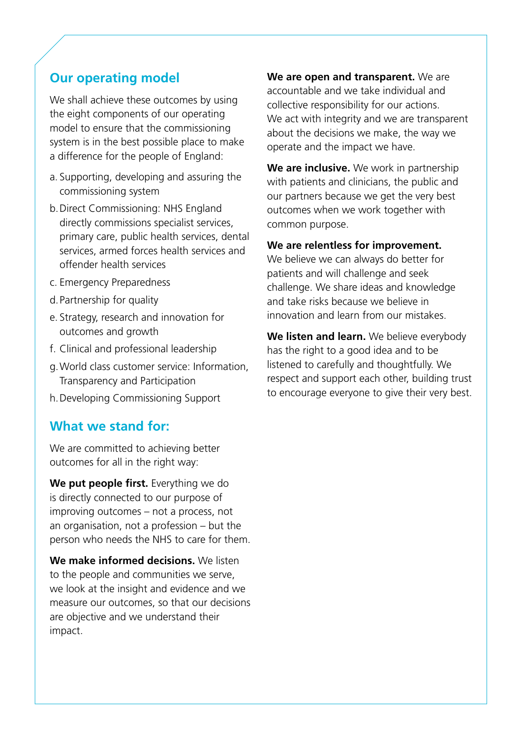## **Our operating model**

We shall achieve these outcomes by using the eight components of our operating model to ensure that the commissioning system is in the best possible place to make a difference for the people of England:

- a. Supporting, developing and assuring the commissioning system
- b.Direct Commissioning: NHS England directly commissions specialist services, primary care, public health services, dental services, armed forces health services and offender health services
- c. Emergency Preparedness
- d.Partnership for quality
- e. Strategy, research and innovation for outcomes and growth
- f. Clinical and professional leadership
- g.World class customer service: Information, Transparency and Participation
- h.Developing Commissioning Support

#### **What we stand for:**

We are committed to achieving better outcomes for all in the right way:

**We put people first.** Everything we do is directly connected to our purpose of improving outcomes – not a process, not an organisation, not a profession – but the person who needs the NHS to care for them.

**We make informed decisions.** We listen to the people and communities we serve, we look at the insight and evidence and we measure our outcomes, so that our decisions are objective and we understand their impact.

**We are open and transparent.** We are accountable and we take individual and collective responsibility for our actions. We act with integrity and we are transparent about the decisions we make, the way we operate and the impact we have.

**We are inclusive.** We work in partnership with patients and clinicians, the public and our partners because we get the very best outcomes when we work together with common purpose.

#### **We are relentless for improvement.**

We believe we can always do better for patients and will challenge and seek challenge. We share ideas and knowledge and take risks because we believe in innovation and learn from our mistakes.

**We listen and learn.** We believe everybody has the right to a good idea and to be listened to carefully and thoughtfully. We respect and support each other, building trust to encourage everyone to give their very best.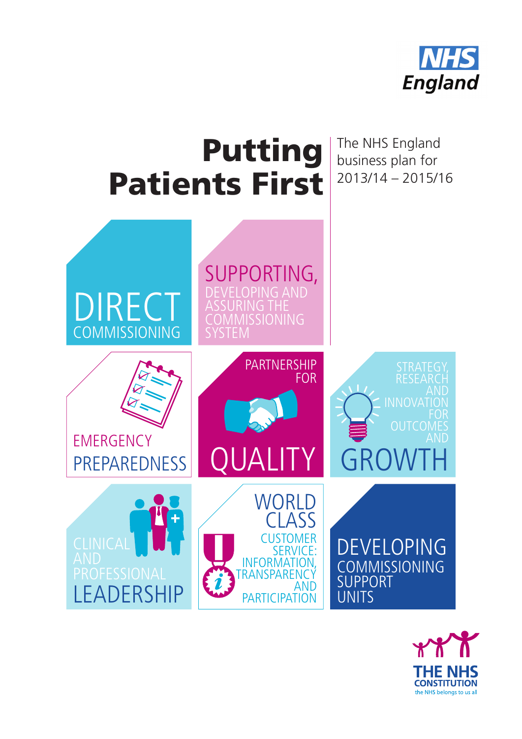

# Putting Patients First

The NHS England business plan for 2013/14 – 2015/16



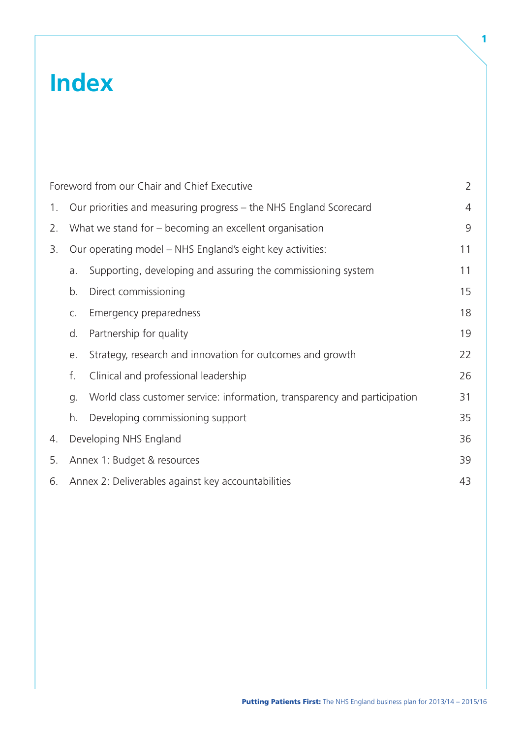## **Index**

|    |    | Foreword from our Chair and Chief Executive                               | $\overline{2}$ |
|----|----|---------------------------------------------------------------------------|----------------|
| 1. |    | Our priorities and measuring progress – the NHS England Scorecard         | $\overline{4}$ |
| 2. |    | What we stand for – becoming an excellent organisation                    | 9              |
| 3. |    | Our operating model – NHS England's eight key activities:                 | 11             |
|    | a. | Supporting, developing and assuring the commissioning system              | 11             |
|    | b. | Direct commissioning                                                      | 15             |
|    | C. | Emergency preparedness                                                    | 18             |
|    | d. | Partnership for quality                                                   | 19             |
|    | е. | Strategy, research and innovation for outcomes and growth                 | 22             |
|    | f. | Clinical and professional leadership                                      | 26             |
|    | g. | World class customer service: information, transparency and participation | 31             |
|    | h. | Developing commissioning support                                          | 35             |
| 4. |    | Developing NHS England                                                    | 36             |
| 5. |    | Annex 1: Budget & resources                                               | 39             |
| 6. |    | Annex 2: Deliverables against key accountabilities                        | 43             |

1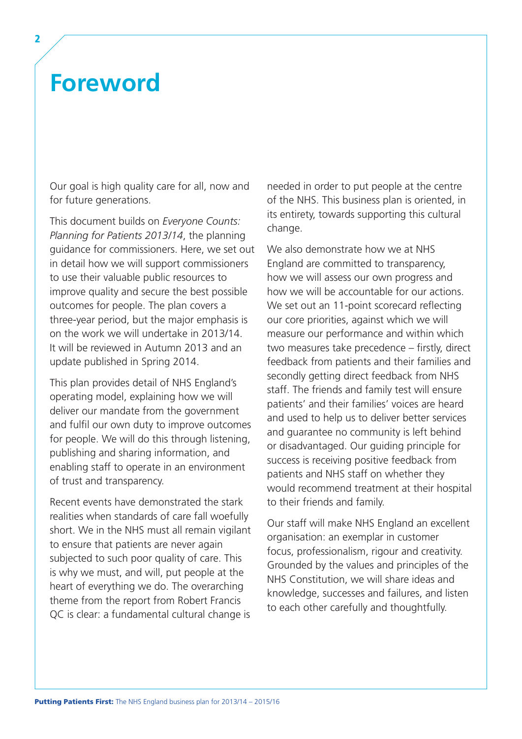## <span id="page-7-0"></span>**Foreword**

Our goal is high quality care for all, now and for future generations.

This document builds on *Everyone Counts: Planning for Patients 2013/14*, the planning guidance for commissioners. Here, we set out in detail how we will support commissioners to use their valuable public resources to improve quality and secure the best possible outcomes for people. The plan covers a three-year period, but the major emphasis is on the work we will undertake in 2013/14. It will be reviewed in Autumn 2013 and an update published in Spring 2014.

This plan provides detail of NHS England's operating model, explaining how we will deliver our mandate from the government and fulfil our own duty to improve outcomes for people. We will do this through listening, publishing and sharing information, and enabling staff to operate in an environment of trust and transparency.

Recent events have demonstrated the stark realities when standards of care fall woefully short. We in the NHS must all remain vigilant to ensure that patients are never again subjected to such poor quality of care. This is why we must, and will, put people at the heart of everything we do. The overarching theme from the report from Robert Francis QC is clear: a fundamental cultural change is

needed in order to put people at the centre of the NHS. This business plan is oriented, in its entirety, towards supporting this cultural change.

We also demonstrate how we at NHS England are committed to transparency, how we will assess our own progress and how we will be accountable for our actions. We set out an 11-point scorecard reflecting our core priorities, against which we will measure our performance and within which two measures take precedence – firstly, direct feedback from patients and their families and secondly getting direct feedback from NHS staff. The friends and family test will ensure patients' and their families' voices are heard and used to help us to deliver better services and guarantee no community is left behind or disadvantaged. Our guiding principle for success is receiving positive feedback from patients and NHS staff on whether they would recommend treatment at their hospital to their friends and family.

Our staff will make NHS England an excellent organisation: an exemplar in customer focus, professionalism, rigour and creativity. Grounded by the values and principles of the NHS Constitution, we will share ideas and knowledge, successes and failures, and listen to each other carefully and thoughtfully.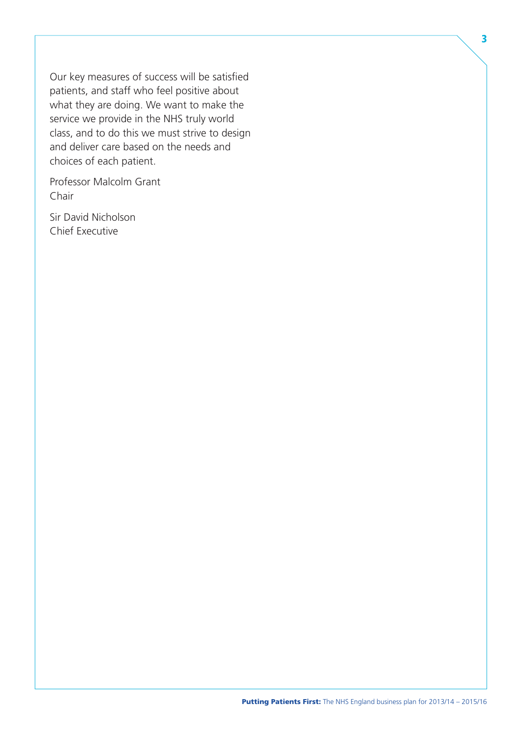Our key measures of success will be satisfied patients, and staff who feel positive about what they are doing. We want to make the service we provide in the NHS truly world class, and to do this we must strive to design and deliver care based on the needs and choices of each patient.

Professor Malcolm Grant Chair

Sir David Nicholson Chief Executive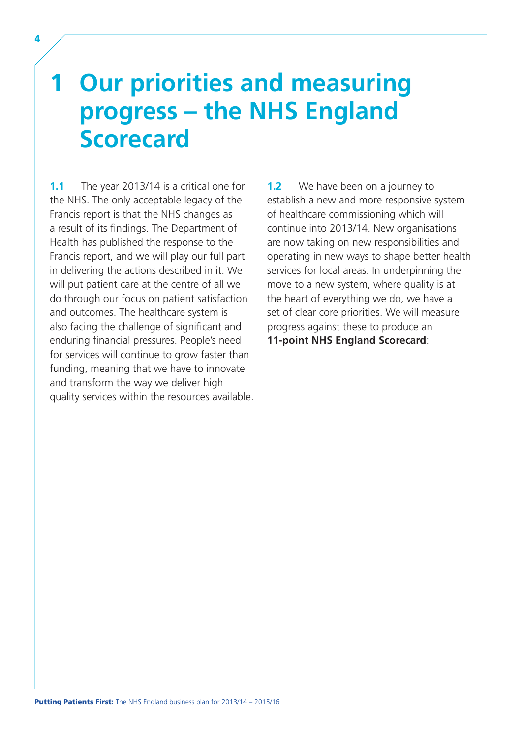## <span id="page-9-0"></span>**1 Our priorities and measuring progress – the NHS England Scorecard**

**1.1** The year 2013/14 is a critical one for the NHS. The only acceptable legacy of the Francis report is that the NHS changes as a result of its findings. The Department of Health has published the response to the Francis report, and we will play our full part in delivering the actions described in it. We will put patient care at the centre of all we do through our focus on patient satisfaction and outcomes. The healthcare system is also facing the challenge of significant and enduring financial pressures. People's need for services will continue to grow faster than funding, meaning that we have to innovate and transform the way we deliver high quality services within the resources available.

**1.2** We have been on a journey to establish a new and more responsive system of healthcare commissioning which will continue into 2013/14. New organisations are now taking on new responsibilities and operating in new ways to shape better health services for local areas. In underpinning the move to a new system, where quality is at the heart of everything we do, we have a set of clear core priorities. We will measure progress against these to produce an **11-point NHS England Scorecard**: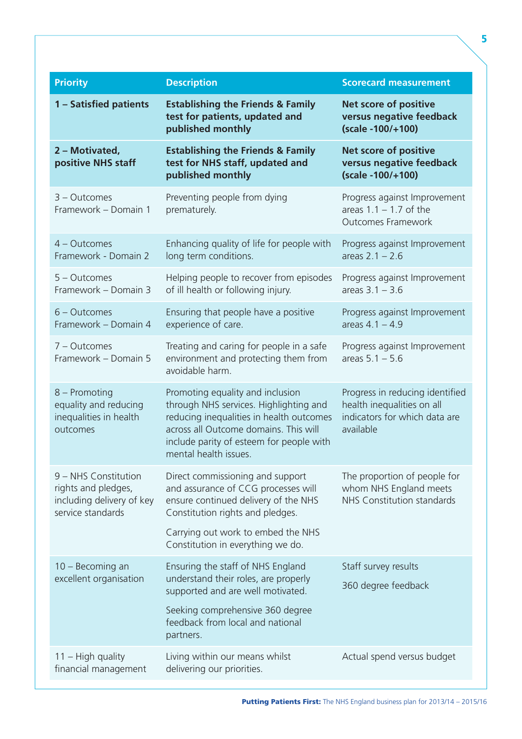| <b>Priority</b>                                                                               | <b>Description</b>                                                                                                                                                                                                                   | <b>Scorecard measurement</b>                                                                                |
|-----------------------------------------------------------------------------------------------|--------------------------------------------------------------------------------------------------------------------------------------------------------------------------------------------------------------------------------------|-------------------------------------------------------------------------------------------------------------|
| 1 - Satisfied patients                                                                        | <b>Establishing the Friends &amp; Family</b><br>test for patients, updated and<br>published monthly                                                                                                                                  | <b>Net score of positive</b><br>versus negative feedback<br>(scale -100/+100)                               |
| 2 - Motivated,<br>positive NHS staff                                                          | <b>Establishing the Friends &amp; Family</b><br>test for NHS staff, updated and<br>published monthly                                                                                                                                 | <b>Net score of positive</b><br>versus negative feedback<br>(scale -100/+100)                               |
| $3 - Outcomes$<br>Framework - Domain 1                                                        | Preventing people from dying<br>prematurely.                                                                                                                                                                                         | Progress against Improvement<br>areas $1.1 - 1.7$ of the<br><b>Outcomes Framework</b>                       |
| 4 - Outcomes<br>Framework - Domain 2                                                          | Enhancing quality of life for people with<br>long term conditions.                                                                                                                                                                   | Progress against Improvement<br>areas $2.1 - 2.6$                                                           |
| $5 - Outcomes$<br>Framework - Domain 3                                                        | Helping people to recover from episodes<br>of ill health or following injury.                                                                                                                                                        | Progress against Improvement<br>areas $3.1 - 3.6$                                                           |
| $6 - Outcomes$<br>Framework - Domain 4                                                        | Ensuring that people have a positive<br>experience of care.                                                                                                                                                                          | Progress against Improvement<br>areas $4.1 - 4.9$                                                           |
| 7 - Outcomes<br>Framework - Domain 5                                                          | Treating and caring for people in a safe<br>environment and protecting them from<br>avoidable harm.                                                                                                                                  | Progress against Improvement<br>areas $5.1 - 5.6$                                                           |
| 8 – Promoting<br>equality and reducing<br>inequalities in health<br>outcomes                  | Promoting equality and inclusion<br>through NHS services. Highlighting and<br>reducing inequalities in health outcomes<br>across all Outcome domains. This will<br>include parity of esteem for people with<br>mental health issues. | Progress in reducing identified<br>health inequalities on all<br>indicators for which data are<br>available |
| 9 - NHS Constitution<br>rights and pledges,<br>including delivery of key<br>service standards | Direct commissioning and support<br>and assurance of CCG processes will<br>ensure continued delivery of the NHS<br>Constitution rights and pledges.                                                                                  | The proportion of people for<br>whom NHS England meets<br>NHS Constitution standards                        |
|                                                                                               | Carrying out work to embed the NHS<br>Constitution in everything we do.                                                                                                                                                              |                                                                                                             |
| 10 - Becoming an<br>excellent organisation                                                    | Ensuring the staff of NHS England<br>understand their roles, are properly<br>supported and are well motivated.<br>Seeking comprehensive 360 degree<br>feedback from local and national<br>partners.                                  | Staff survey results<br>360 degree feedback                                                                 |
| $11 - High quality$<br>financial management                                                   | Living within our means whilst<br>delivering our priorities.                                                                                                                                                                         | Actual spend versus budget                                                                                  |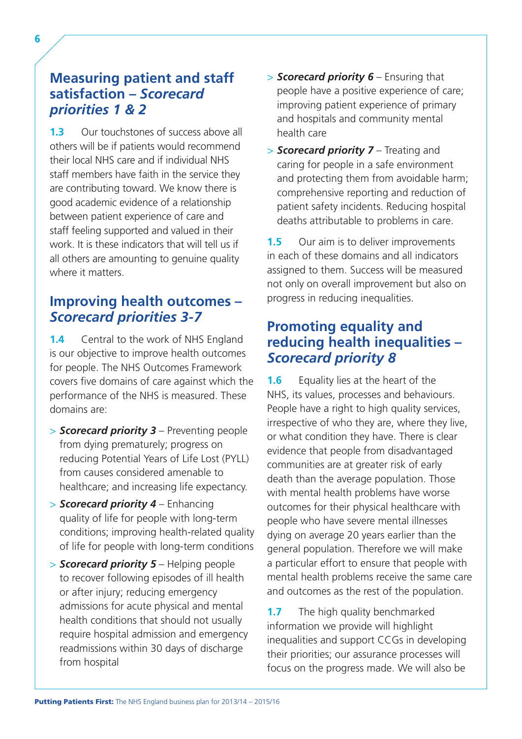## **Measuring patient and staff satisfaction –** *Scorecard priorities 1 & 2*

 work. It is these indicators that will tell us if all others are amounting to genuine quality **1.3** Our touchstones of success above all others will be if patients would recommend their local NHS care and if individual NHS staff members have faith in the service they are contributing toward. We know there is good academic evidence of a relationship between patient experience of care and staff feeling supported and valued in their where it matters.

### **Improving health outcomes –**  *Scorecard priorities 3-7*

**1.4** Central to the work of NHS England is our objective to improve health outcomes for people. The NHS Outcomes Framework covers five domains of care against which the performance of the NHS is measured. These domains are:

- > *Scorecard priority 3* Preventing people from dying prematurely; progress on reducing Potential Years of Life Lost (PYLL) from causes considered amenable to healthcare; and increasing life expectancy.
- > *Scorecard priority 4* Enhancing quality of life for people with long-term conditions; improving health-related quality of life for people with long-term conditions
- > *Scorecard priority 5* Helping people to recover following episodes of ill health or after injury; reducing emergency admissions for acute physical and mental health conditions that should not usually require hospital admission and emergency readmissions within 30 days of discharge from hospital
- > *Scorecard priority 6* Ensuring that people have a positive experience of care; improving patient experience of primary and hospitals and community mental health care
- > *Scorecard priority 7* Treating and caring for people in a safe environment and protecting them from avoidable harm; comprehensive reporting and reduction of patient safety incidents. Reducing hospital deaths attributable to problems in care.

**1.5** Our aim is to deliver improvements in each of these domains and all indicators assigned to them. Success will be measured not only on overall improvement but also on progress in reducing inequalities.

## **Promoting equality and reducing health inequalities –**  *Scorecard priority 8*

**1.6** Equality lies at the heart of the NHS, its values, processes and behaviours. People have a right to high quality services. irrespective of who they are, where they live, or what condition they have. There is clear evidence that people from disadvantaged communities are at greater risk of early death than the average population. Those with mental health problems have worse outcomes for their physical healthcare with people who have severe mental illnesses dying on average 20 years earlier than the general population. Therefore we will make a particular effort to ensure that people with mental health problems receive the same care and outcomes as the rest of the population.

**1.7** The high quality benchmarked information we provide will highlight inequalities and support CCGs in developing their priorities; our assurance processes will focus on the progress made. We will also be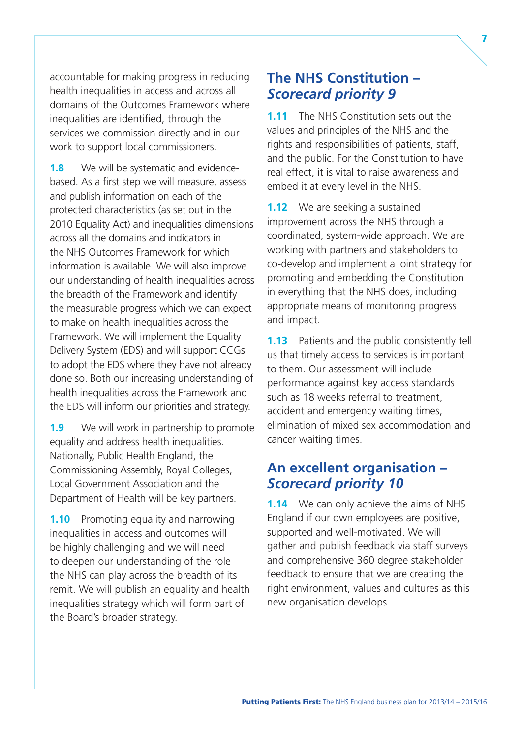accountable for making progress in reducing health inequalities in access and across all domains of the Outcomes Framework where inequalities are identified, through the services we commission directly and in our work to support local commissioners.

1.8 We will be systematic and evidencebased. As a first step we will measure, assess and publish information on each of the protected characteristics (as set out in the 2010 Equality Act) and inequalities dimensions across all the domains and indicators in the NHS Outcomes Framework for which information is available. We will also improve our understanding of health inequalities across the breadth of the Framework and identify the measurable progress which we can expect to make on health inequalities across the Framework. We will implement the Equality Delivery System (EDS) and will support CCGs to adopt the EDS where they have not already done so. Both our increasing understanding of health inequalities across the Framework and the EDS will inform our priorities and strategy.

**1.9** We will work in partnership to promote equality and address health inequalities. Nationally, Public Health England, the Commissioning Assembly, Royal Colleges, Local Government Association and the Department of Health will be key partners.

**1.10** Promoting equality and narrowing inequalities in access and outcomes will be highly challenging and we will need to deepen our understanding of the role the NHS can play across the breadth of its remit. We will publish an equality and health inequalities strategy which will form part of the Board's broader strategy.

### **The NHS Constitution –**  *Scorecard priority 9*

**1.11** The NHS Constitution sets out the values and principles of the NHS and the rights and responsibilities of patients, staff, and the public. For the Constitution to have real effect, it is vital to raise awareness and embed it at every level in the NHS.

**1.12** We are seeking a sustained improvement across the NHS through a coordinated, system-wide approach. We are working with partners and stakeholders to co-develop and implement a joint strategy for promoting and embedding the Constitution in everything that the NHS does, including appropriate means of monitoring progress and impact.

**1.13** Patients and the public consistently tell us that timely access to services is important to them. Our assessment will include performance against key access standards such as 18 weeks referral to treatment, accident and emergency waiting times, elimination of mixed sex accommodation and cancer waiting times.

### **An excellent organisation –**  *Scorecard priority 10*

**1.14** We can only achieve the aims of NHS England if our own employees are positive, supported and well-motivated. We will gather and publish feedback via staff surveys and comprehensive 360 degree stakeholder feedback to ensure that we are creating the right environment, values and cultures as this new organisation develops.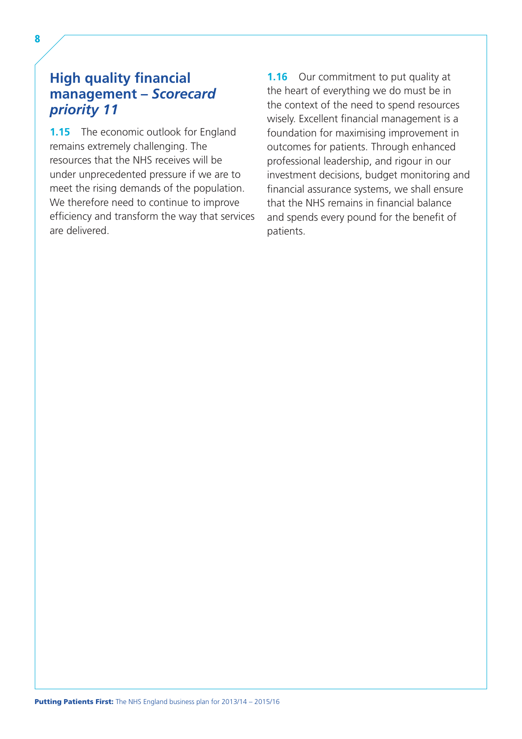## **High quality financial management –** *Scorecard priority 11*

**1.15** The economic outlook for England remains extremely challenging. The resources that the NHS receives will be under unprecedented pressure if we are to meet the rising demands of the population. We therefore need to continue to improve efficiency and transform the way that services are delivered.

**1.16** Our commitment to put quality at the heart of everything we do must be in the context of the need to spend resources wisely. Excellent financial management is a foundation for maximising improvement in outcomes for patients. Through enhanced professional leadership, and rigour in our investment decisions, budget monitoring and financial assurance systems, we shall ensure that the NHS remains in financial balance and spends every pound for the benefit of patients.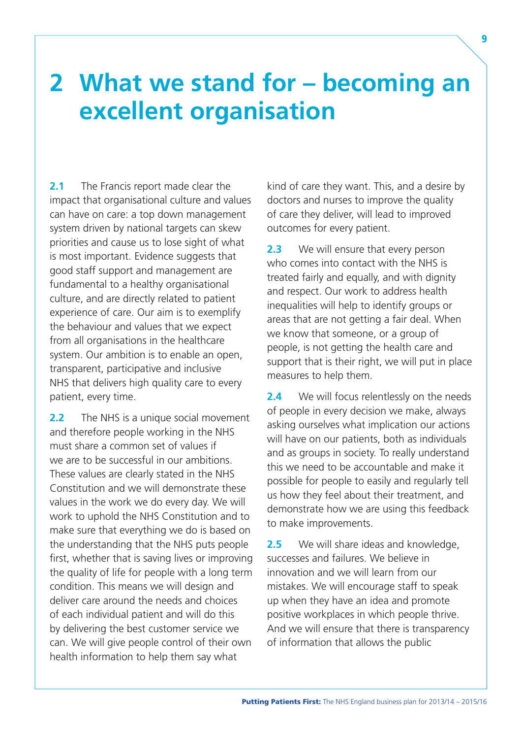## <span id="page-14-0"></span>**2 What we stand for – becoming an excellent organisation**

**2.1** The Francis report made clear the impact that organisational culture and values can have on care: a top down management system driven by national targets can skew priorities and cause us to lose sight of what is most important. Evidence suggests that good staff support and management are fundamental to a healthy organisational culture, and are directly related to patient experience of care. Our aim is to exemplify the behaviour and values that we expect from all organisations in the healthcare system. Our ambition is to enable an open, transparent, participative and inclusive NHS that delivers high quality care to every patient, every time.

**2.2** The NHS is a unique social movement and therefore people working in the NHS must share a common set of values if we are to be successful in our ambitions. These values are clearly stated in the NHS Constitution and we will demonstrate these values in the work we do every day. We will work to uphold the NHS Constitution and to make sure that everything we do is based on the understanding that the NHS puts people first, whether that is saving lives or improving the quality of life for people with a long term condition. This means we will design and deliver care around the needs and choices of each individual patient and will do this by delivering the best customer service we can. We will give people control of their own health information to help them say what

kind of care they want. This, and a desire by doctors and nurses to improve the quality of care they deliver, will lead to improved outcomes for every patient.

2.3 We will ensure that every person who comes into contact with the NHS is treated fairly and equally, and with dignity and respect. Our work to address health inequalities will help to identify groups or areas that are not getting a fair deal. When we know that someone, or a group of people, is not getting the health care and support that is their right, we will put in place measures to help them.

**2.4** We will focus relentlessly on the needs of people in every decision we make, always asking ourselves what implication our actions will have on our patients, both as individuals and as groups in society. To really understand this we need to be accountable and make it possible for people to easily and regularly tell us how they feel about their treatment, and demonstrate how we are using this feedback to make improvements.

**2.5** We will share ideas and knowledge, successes and failures. We believe in innovation and we will learn from our mistakes. We will encourage staff to speak up when they have an idea and promote positive workplaces in which people thrive. And we will ensure that there is transparency of information that allows the public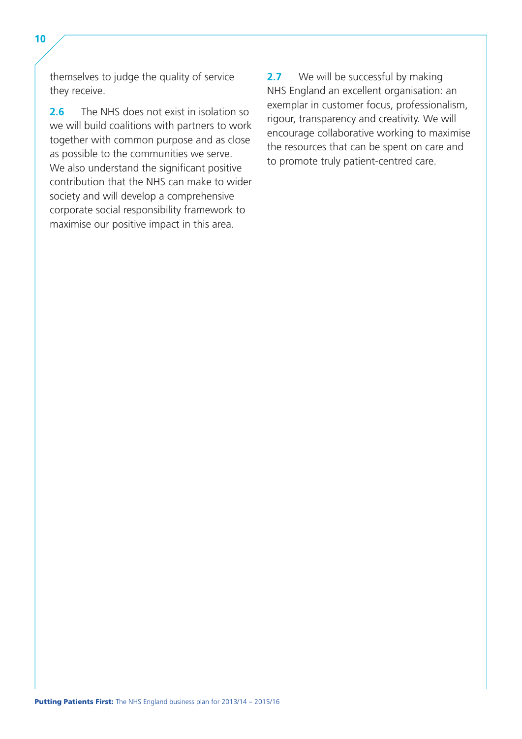themselves to judge the quality of service they receive.

**2.6** The NHS does not exist in isolation so we will build coalitions with partners to work together with common purpose and as close as possible to the communities we serve. We also understand the significant positive contribution that the NHS can make to wider society and will develop a comprehensive corporate social responsibility framework to maximise our positive impact in this area.

**2.7** We will be successful by making NHS England an excellent organisation: an exemplar in customer focus, professionalism, rigour, transparency and creativity. We will encourage collaborative working to maximise the resources that can be spent on care and to promote truly patient-centred care.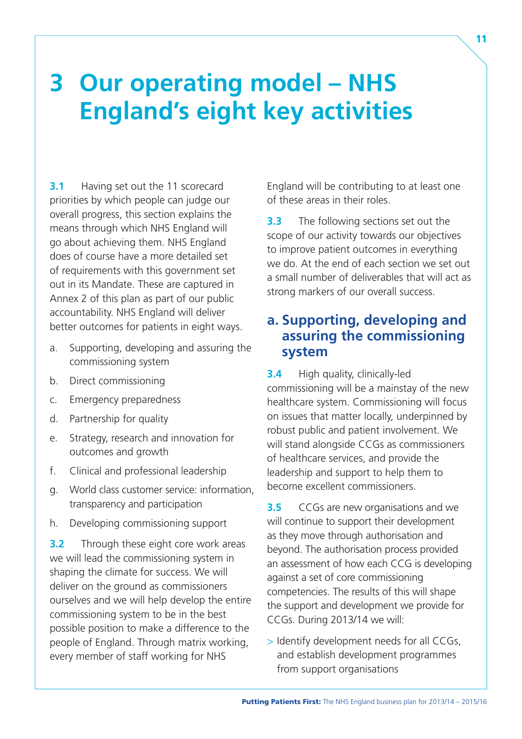## <span id="page-16-0"></span>**3 Our operating model – NHS England's eight key activities**

**3.1** Having set out the 11 scorecard priorities by which people can judge our overall progress, this section explains the means through which NHS England will go about achieving them. NHS England does of course have a more detailed set of requirements with this government set out in its Mandate. These are captured in Annex 2 of this plan as part of our public accountability. NHS England will deliver better outcomes for patients in eight ways.

- a. Supporting, developing and assuring the commissioning system
- b. Direct commissioning
- c. Emergency preparedness
- d. Partnership for quality
- e. Strategy, research and innovation for outcomes and growth
- f. Clinical and professional leadership
- g. World class customer service: information, transparency and participation
- h. Developing commissioning support

**3.2** Through these eight core work areas we will lead the commissioning system in shaping the climate for success. We will deliver on the ground as commissioners ourselves and we will help develop the entire commissioning system to be in the best possible position to make a difference to the people of England. Through matrix working, every member of staff working for NHS

England will be contributing to at least one of these areas in their roles.

**3.3** The following sections set out the scope of our activity towards our objectives to improve patient outcomes in everything we do. At the end of each section we set out a small number of deliverables that will act as strong markers of our overall success.

### **a. Supporting, developing and assuring the commissioning system**

**3.4** High quality, clinically-led commissioning will be a mainstay of the new healthcare system. Commissioning will focus on issues that matter locally, underpinned by robust public and patient involvement. We will stand alongside CCGs as commissioners of healthcare services, and provide the leadership and support to help them to become excellent commissioners.

**3.5** CCGs are new organisations and we will continue to support their development as they move through authorisation and beyond. The authorisation process provided an assessment of how each CCG is developing against a set of core commissioning competencies. The results of this will shape the support and development we provide for CCGs. During 2013/14 we will:

> Identify development needs for all CCGs, and establish development programmes from support organisations

11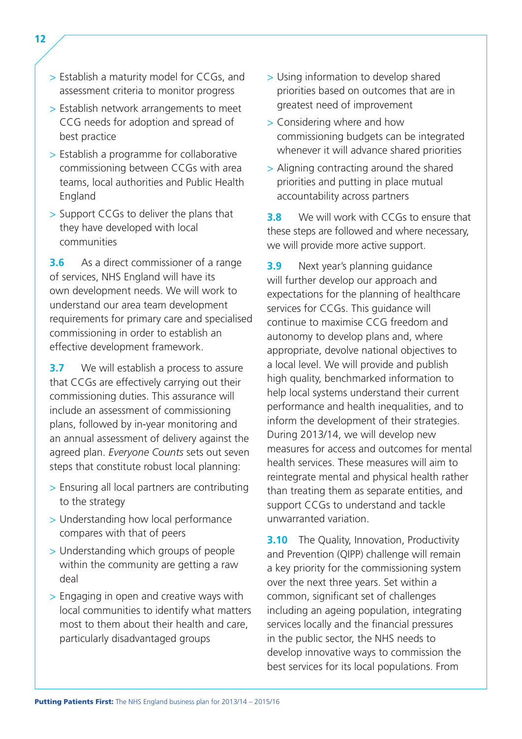- > Establish a maturity model for CCGs, and assessment criteria to monitor progress
- > Establish network arrangements to meet CCG needs for adoption and spread of best practice
- > Establish a programme for collaborative commissioning between CCGs with area teams, local authorities and Public Health England
- > Support CCGs to deliver the plans that they have developed with local communities

**3.6** As a direct commissioner of a range of services, NHS England will have its own development needs. We will work to understand our area team development requirements for primary care and specialised commissioning in order to establish an effective development framework.

**3.7** We will establish a process to assure that CCGs are effectively carrying out their commissioning duties. This assurance will include an assessment of commissioning plans, followed by in-year monitoring and an annual assessment of delivery against the agreed plan. *Everyone Counts* sets out seven steps that constitute robust local planning:

- > Ensuring all local partners are contributing to the strategy
- > Understanding how local performance compares with that of peers
- > Understanding which groups of people within the community are getting a raw deal
- > Engaging in open and creative ways with local communities to identify what matters most to them about their health and care, particularly disadvantaged groups
- > Using information to develop shared priorities based on outcomes that are in greatest need of improvement
- > Considering where and how commissioning budgets can be integrated whenever it will advance shared priorities
- > Aligning contracting around the shared priorities and putting in place mutual accountability across partners

**3.8** We will work with CCGs to ensure that these steps are followed and where necessary, we will provide more active support.

**3.9** Next year's planning guidance will further develop our approach and expectations for the planning of healthcare services for CCGs. This guidance will continue to maximise CCG freedom and autonomy to develop plans and, where appropriate, devolve national objectives to a local level. We will provide and publish high quality, benchmarked information to help local systems understand their current performance and health inequalities, and to inform the development of their strategies. During 2013/14, we will develop new measures for access and outcomes for mental health services. These measures will aim to reintegrate mental and physical health rather than treating them as separate entities, and support CCGs to understand and tackle unwarranted variation.

**3.10** The Quality, Innovation, Productivity and Prevention (QIPP) challenge will remain a key priority for the commissioning system over the next three years. Set within a common, significant set of challenges including an ageing population, integrating services locally and the financial pressures in the public sector, the NHS needs to develop innovative ways to commission the best services for its local populations. From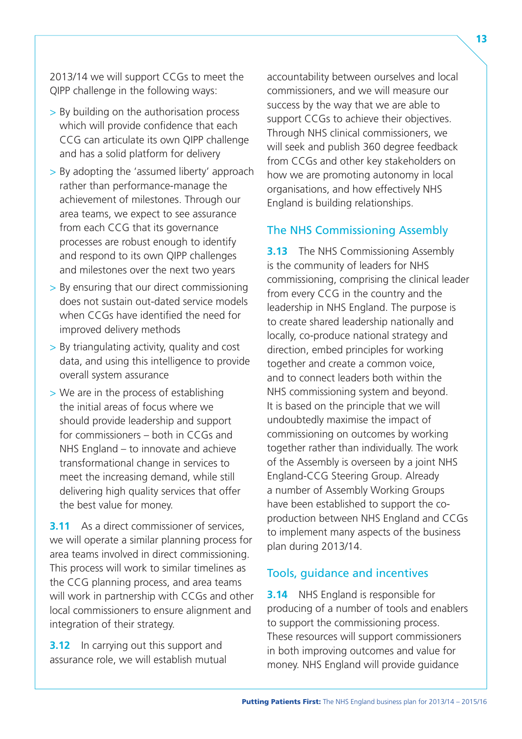2013/14 we will support CCGs to meet the QIPP challenge in the following ways:

- > By building on the authorisation process which will provide confidence that each CCG can articulate its own QIPP challenge and has a solid platform for delivery
- > By adopting the 'assumed liberty' approach rather than performance-manage the achievement of milestones. Through our area teams, we expect to see assurance from each CCG that its governance processes are robust enough to identify and respond to its own QIPP challenges and milestones over the next two years
- > By ensuring that our direct commissioning does not sustain out-dated service models when CCGs have identified the need for improved delivery methods
- > By triangulating activity, quality and cost data, and using this intelligence to provide overall system assurance
- > We are in the process of establishing the initial areas of focus where we should provide leadership and support for commissioners – both in CCGs and NHS England – to innovate and achieve transformational change in services to meet the increasing demand, while still delivering high quality services that offer the best value for money.

**3.11** As a direct commissioner of services, we will operate a similar planning process for area teams involved in direct commissioning. This process will work to similar timelines as the CCG planning process, and area teams will work in partnership with CCGs and other local commissioners to ensure alignment and integration of their strategy.

**3.12** In carrying out this support and assurance role, we will establish mutual accountability between ourselves and local commissioners, and we will measure our success by the way that we are able to support CCGs to achieve their objectives. Through NHS clinical commissioners, we will seek and publish 360 degree feedback from CCGs and other key stakeholders on how we are promoting autonomy in local organisations, and how effectively NHS England is building relationships.

#### The NHS Commissioning Assembly

**3.13** The NHS Commissioning Assembly is the community of leaders for NHS commissioning, comprising the clinical leader from every CCG in the country and the leadership in NHS England. The purpose is to create shared leadership nationally and locally, co-produce national strategy and direction, embed principles for working together and create a common voice, and to connect leaders both within the NHS commissioning system and beyond. It is based on the principle that we will undoubtedly maximise the impact of commissioning on outcomes by working together rather than individually. The work of the Assembly is overseen by a joint NHS England-CCG Steering Group. Already a number of Assembly Working Groups have been established to support the coproduction between NHS England and CCGs to implement many aspects of the business plan during 2013/14.

#### Tools, guidance and incentives

**3.14** NHS England is responsible for producing of a number of tools and enablers to support the commissioning process. These resources will support commissioners in both improving outcomes and value for money. NHS England will provide guidance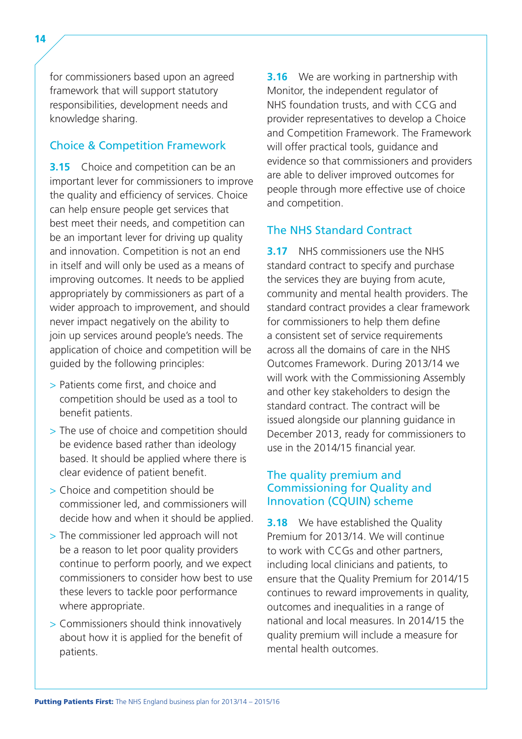for commissioners based upon an agreed framework that will support statutory responsibilities, development needs and knowledge sharing.

#### Choice & Competition Framework

**3.15** Choice and competition can be an important lever for commissioners to improve the quality and efficiency of services. Choice can help ensure people get services that best meet their needs, and competition can be an important lever for driving up quality and innovation. Competition is not an end in itself and will only be used as a means of improving outcomes. It needs to be applied appropriately by commissioners as part of a wider approach to improvement, and should never impact negatively on the ability to join up services around people's needs. The application of choice and competition will be guided by the following principles:

- > Patients come first, and choice and competition should be used as a tool to benefit patients.
- > The use of choice and competition should be evidence based rather than ideology based. It should be applied where there is clear evidence of patient benefit.
- > Choice and competition should be commissioner led, and commissioners will decide how and when it should be applied.
- > The commissioner led approach will not be a reason to let poor quality providers continue to perform poorly, and we expect commissioners to consider how best to use these levers to tackle poor performance where appropriate.
- > Commissioners should think innovatively about how it is applied for the benefit of patients.

**3.16** We are working in partnership with Monitor, the independent regulator of NHS foundation trusts, and with CCG and provider representatives to develop a Choice and Competition Framework. The Framework will offer practical tools, guidance and evidence so that commissioners and providers are able to deliver improved outcomes for people through more effective use of choice and competition.

#### The NHS Standard Contract

**3.17** NHS commissioners use the NHS standard contract to specify and purchase the services they are buying from acute, community and mental health providers. The standard contract provides a clear framework for commissioners to help them define a consistent set of service requirements across all the domains of care in the NHS Outcomes Framework. During 2013/14 we will work with the Commissioning Assembly and other key stakeholders to design the standard contract. The contract will be issued alongside our planning guidance in December 2013, ready for commissioners to use in the 2014/15 financial year.

#### The quality premium and Commissioning for Quality and Innovation (CQUIN) scheme

**3.18** We have established the Quality Premium for 2013/14. We will continue to work with CCGs and other partners, including local clinicians and patients, to ensure that the Quality Premium for 2014/15 continues to reward improvements in quality, outcomes and inequalities in a range of national and local measures. In 2014/15 the quality premium will include a measure for mental health outcomes.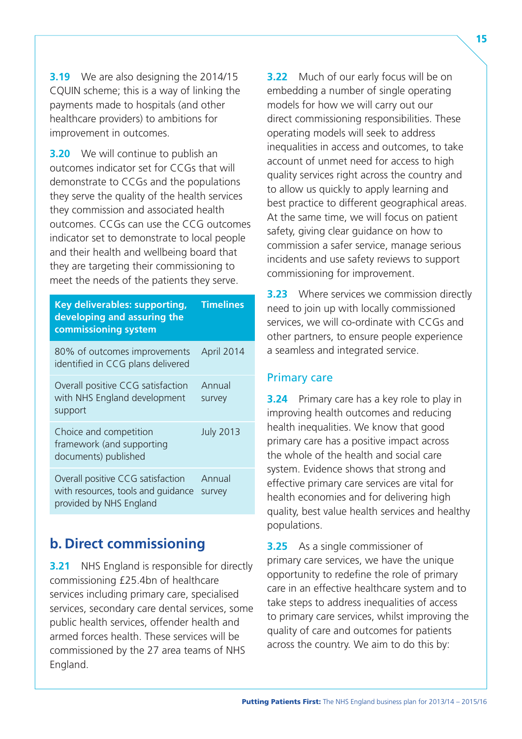<span id="page-20-0"></span>**3.19** We are also designing the 2014/15 CQUIN scheme; this is a way of linking the payments made to hospitals (and other healthcare providers) to ambitions for improvement in outcomes.

**3.20** We will continue to publish an outcomes indicator set for CCGs that will demonstrate to CCGs and the populations they serve the quality of the health services they commission and associated health outcomes. CCGs can use the CCG outcomes indicator set to demonstrate to local people and their health and wellbeing board that they are targeting their commissioning to meet the needs of the patients they serve.

| <b>Key deliverables: supporting,</b><br>developing and assuring the<br>commissioning system        | <b>Timelines</b> |
|----------------------------------------------------------------------------------------------------|------------------|
| 80% of outcomes improvements<br>identified in CCG plans delivered                                  | April 2014       |
| Overall positive CCG satisfaction<br>with NHS England development<br>support                       | Annual<br>survey |
| Choice and competition<br>framework (and supporting<br>documents) published                        | <b>July 2013</b> |
| Overall positive CCG satisfaction<br>with resources, tools and guidance<br>provided by NHS England | Annual<br>survey |

## **b. Direct commissioning**

**3.21** NHS England is responsible for directly commissioning £25.4bn of healthcare services including primary care, specialised services, secondary care dental services, some public health services, offender health and armed forces health. These services will be commissioned by the 27 area teams of NHS England.

**3.22** Much of our early focus will be on embedding a number of single operating models for how we will carry out our direct commissioning responsibilities. These operating models will seek to address inequalities in access and outcomes, to take account of unmet need for access to high quality services right across the country and to allow us quickly to apply learning and best practice to different geographical areas. At the same time, we will focus on patient safety, giving clear guidance on how to commission a safer service, manage serious incidents and use safety reviews to support commissioning for improvement.

**3.23** Where services we commission directly need to join up with locally commissioned services, we will co-ordinate with CCGs and other partners, to ensure people experience a seamless and integrated service.

#### Primary care

**3.24** Primary care has a key role to play in improving health outcomes and reducing health inequalities. We know that good primary care has a positive impact across the whole of the health and social care system. Evidence shows that strong and effective primary care services are vital for health economies and for delivering high quality, best value health services and healthy populations.

**3.25** As a single commissioner of primary care services, we have the unique opportunity to redefine the role of primary care in an effective healthcare system and to take steps to address inequalities of access to primary care services, whilst improving the quality of care and outcomes for patients across the country. We aim to do this by: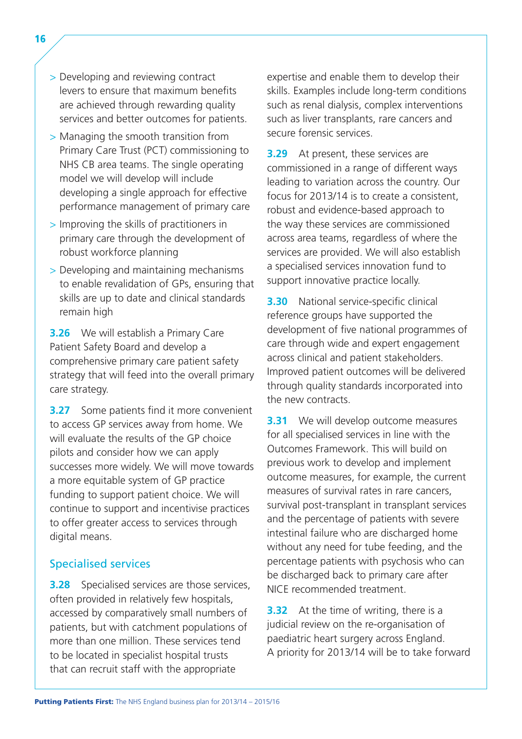- > Developing and reviewing contract levers to ensure that maximum benefits are achieved through rewarding quality services and better outcomes for patients.
- > Managing the smooth transition from Primary Care Trust (PCT) commissioning to NHS CB area teams. The single operating model we will develop will include developing a single approach for effective performance management of primary care
- > Improving the skills of practitioners in primary care through the development of robust workforce planning
- > Developing and maintaining mechanisms to enable revalidation of GPs, ensuring that skills are up to date and clinical standards remain high

**3.26** We will establish a Primary Care Patient Safety Board and develop a comprehensive primary care patient safety strategy that will feed into the overall primary care strategy.

**3.27** Some patients find it more convenient to access GP services away from home. We will evaluate the results of the GP choice pilots and consider how we can apply successes more widely. We will move towards a more equitable system of GP practice funding to support patient choice. We will continue to support and incentivise practices to offer greater access to services through digital means.

#### Specialised services

**3.28** Specialised services are those services, often provided in relatively few hospitals, accessed by comparatively small numbers of patients, but with catchment populations of more than one million. These services tend to be located in specialist hospital trusts that can recruit staff with the appropriate

expertise and enable them to develop their skills. Examples include long-term conditions such as renal dialysis, complex interventions such as liver transplants, rare cancers and secure forensic services.

**3.29** At present, these services are commissioned in a range of different ways leading to variation across the country. Our focus for 2013/14 is to create a consistent, robust and evidence-based approach to the way these services are commissioned across area teams, regardless of where the services are provided. We will also establish a specialised services innovation fund to support innovative practice locally.

**3.30** National service-specific clinical reference groups have supported the development of five national programmes of care through wide and expert engagement across clinical and patient stakeholders. Improved patient outcomes will be delivered through quality standards incorporated into the new contracts.

**3.31** We will develop outcome measures for all specialised services in line with the Outcomes Framework. This will build on previous work to develop and implement outcome measures, for example, the current measures of survival rates in rare cancers, survival post-transplant in transplant services and the percentage of patients with severe intestinal failure who are discharged home without any need for tube feeding, and the percentage patients with psychosis who can be discharged back to primary care after NICE recommended treatment.

**3.32** At the time of writing, there is a judicial review on the re-organisation of paediatric heart surgery across England. A priority for 2013/14 will be to take forward

16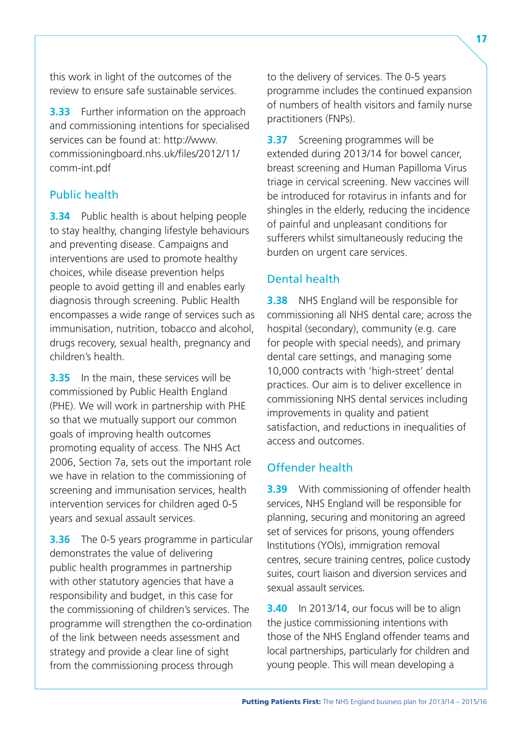this work in light of the outcomes of the review to ensure safe sustainable services.

**3.33** Further information on the approach and commissioning intentions for specialised services can be found at: [http://www.](http://www.commissioningboard.nhs.uk/files/2012/11/comm-int.pdf)  [commissioningboard.nhs.uk/files/2012/11/](http://www.commissioningboard.nhs.uk/files/2012/11/comm-int.pdf) [comm-int.pdf](http://www.commissioningboard.nhs.uk/files/2012/11/comm-int.pdf) 

#### Public health

**3.34** Public health is about helping people to stay healthy, changing lifestyle behaviours and preventing disease. Campaigns and interventions are used to promote healthy choices, while disease prevention helps people to avoid getting ill and enables early diagnosis through screening. Public Health encompasses a wide range of services such as immunisation, nutrition, tobacco and alcohol, drugs recovery, sexual health, pregnancy and children's health.

**3.35** In the main, these services will be commissioned by Public Health England (PHE). We will work in partnership with PHE so that we mutually support our common goals of improving health outcomes promoting equality of access. The NHS Act 2006, Section 7a, sets out the important role we have in relation to the commissioning of screening and immunisation services, health intervention services for children aged 0-5 years and sexual assault services.

**3.36** The 0-5 years programme in particular demonstrates the value of delivering public health programmes in partnership with other statutory agencies that have a responsibility and budget, in this case for the commissioning of children's services. The programme will strengthen the co-ordination of the link between needs assessment and strategy and provide a clear line of sight from the commissioning process through

to the delivery of services. The 0-5 years programme includes the continued expansion of numbers of health visitors and family nurse practitioners (FNPs).

**3.37** Screening programmes will be extended during 2013/14 for bowel cancer, breast screening and Human Papilloma Virus triage in cervical screening. New vaccines will be introduced for rotavirus in infants and for shingles in the elderly, reducing the incidence of painful and unpleasant conditions for sufferers whilst simultaneously reducing the burden on urgent care services.

#### Dental health

**3.38** NHS England will be responsible for commissioning all NHS dental care; across the hospital (secondary), community (e.g. care for people with special needs), and primary dental care settings, and managing some 10,000 contracts with 'high-street' dental practices. Our aim is to deliver excellence in commissioning NHS dental services including improvements in quality and patient satisfaction, and reductions in inequalities of access and outcomes.

#### Offender health

**3.39** With commissioning of offender health services, NHS England will be responsible for planning, securing and monitoring an agreed set of services for prisons, young offenders Institutions (YOIs), immigration removal centres, secure training centres, police custody suites, court liaison and diversion services and sexual assault services.

**3.40** In 2013/14, our focus will be to align the justice commissioning intentions with those of the NHS England offender teams and local partnerships, particularly for children and young people. This will mean developing a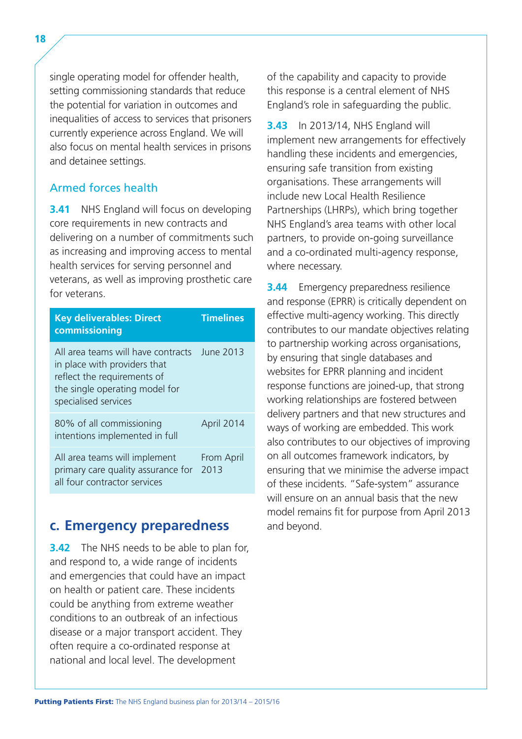<span id="page-23-0"></span>single operating model for offender health, setting commissioning standards that reduce the potential for variation in outcomes and inequalities of access to services that prisoners currently experience across England. We will also focus on mental health services in prisons and detainee settings.

#### Armed forces health

**3.41** NHS England will focus on developing core requirements in new contracts and delivering on a number of commitments such as increasing and improving access to mental health services for serving personnel and veterans, as well as improving prosthetic care for veterans.

| <b>Key deliverables: Direct</b><br>commissioning                                                                                                            | <b>Timelines</b>   |
|-------------------------------------------------------------------------------------------------------------------------------------------------------------|--------------------|
| All area teams will have contracts<br>in place with providers that<br>reflect the requirements of<br>the single operating model for<br>specialised services | <b>June 2013</b>   |
| 80% of all commissioning<br>intentions implemented in full                                                                                                  | April 2014         |
| All area teams will implement<br>primary care quality assurance for<br>all four contractor services                                                         | From April<br>2013 |

## **c. Emergency preparedness**

**3.42** The NHS needs to be able to plan for, and respond to, a wide range of incidents and emergencies that could have an impact on health or patient care. These incidents could be anything from extreme weather conditions to an outbreak of an infectious disease or a major transport accident. They often require a co-ordinated response at national and local level. The development

of the capability and capacity to provide this response is a central element of NHS England's role in safeguarding the public.

**3.43** In 2013/14, NHS England will implement new arrangements for effectively handling these incidents and emergencies, ensuring safe transition from existing organisations. These arrangements will include new Local Health Resilience Partnerships (LHRPs), which bring together NHS England's area teams with other local partners, to provide on-going surveillance and a co-ordinated multi-agency response, where necessary.

**3.44** Emergency preparedness resilience and response (EPRR) is critically dependent on effective multi-agency working. This directly contributes to our mandate objectives relating to partnership working across organisations, by ensuring that single databases and websites for EPRR planning and incident response functions are joined-up, that strong working relationships are fostered between delivery partners and that new structures and ways of working are embedded. This work also contributes to our objectives of improving on all outcomes framework indicators, by ensuring that we minimise the adverse impact of these incidents. "Safe-system" assurance will ensure on an annual basis that the new model remains fit for purpose from April 2013 and beyond.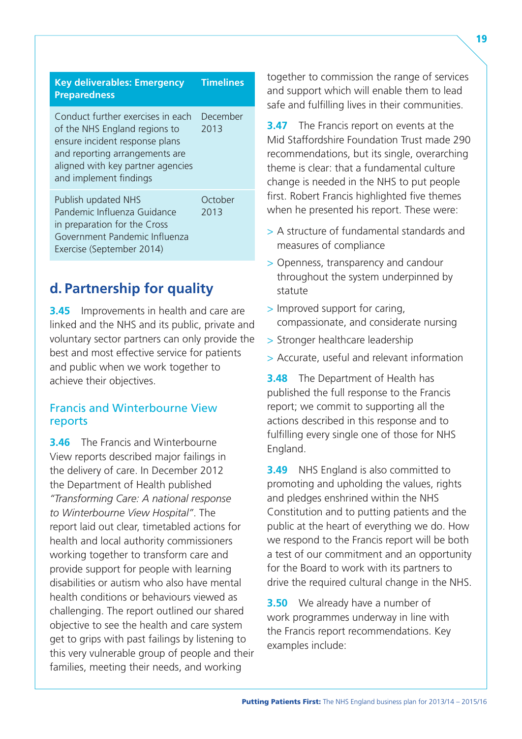<span id="page-24-0"></span>

| <b>Key deliverables: Emergency</b><br><b>Preparedness</b>                                                                                                                                             | <b>Timelines</b> |
|-------------------------------------------------------------------------------------------------------------------------------------------------------------------------------------------------------|------------------|
| Conduct further exercises in each<br>of the NHS England regions to<br>ensure incident response plans<br>and reporting arrangements are<br>aligned with key partner agencies<br>and implement findings | December<br>2013 |
| Publish updated NHS<br>Pandemic Influenza Guidance<br>in preparation for the Cross<br>Government Pandemic Influenza<br>Exercise (September 2014)                                                      | October<br>2013  |

## **d. Partnership for quality**

**3.45** Improvements in health and care are linked and the NHS and its public, private and voluntary sector partners can only provide the best and most effective service for patients and public when we work together to achieve their objectives.

#### Francis and Winterbourne View reports

**3.46** The Francis and Winterbourne View reports described major failings in the delivery of care. In December 2012 the Department of Health published *"Transforming Care: A national response to Winterbourne View Hospital"*. The report laid out clear, timetabled actions for health and local authority commissioners working together to transform care and provide support for people with learning disabilities or autism who also have mental health conditions or behaviours viewed as challenging. The report outlined our shared objective to see the health and care system get to grips with past failings by listening to this very vulnerable group of people and their families, meeting their needs, and working

together to commission the range of services and support which will enable them to lead safe and fulfilling lives in their communities.

**3.47** The Francis report on events at the Mid Staffordshire Foundation Trust made 290 recommendations, but its single, overarching theme is clear: that a fundamental culture change is needed in the NHS to put people first. Robert Francis highlighted five themes when he presented his report. These were:

- > A structure of fundamental standards and measures of compliance
- > Openness, transparency and candour throughout the system underpinned by statute
- > Improved support for caring, compassionate, and considerate nursing
- > Stronger healthcare leadership
- > Accurate, useful and relevant information

**3.48** The Department of Health has published the full response to the Francis report; we commit to supporting all the actions described in this response and to fulfilling every single one of those for NHS England.

**3.49** NHS England is also committed to promoting and upholding the values, rights and pledges enshrined within the NHS Constitution and to putting patients and the public at the heart of everything we do. How we respond to the Francis report will be both a test of our commitment and an opportunity for the Board to work with its partners to drive the required cultural change in the NHS.

**3.50** We already have a number of work programmes underway in line with the Francis report recommendations. Key examples include: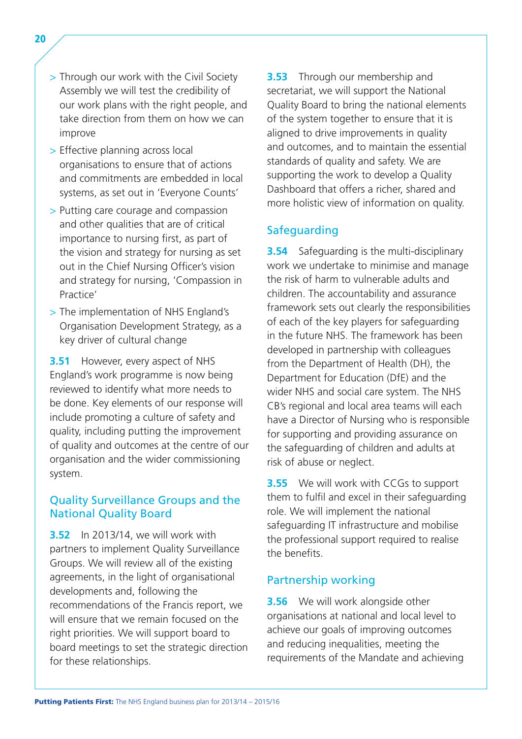- > Through our work with the Civil Society Assembly we will test the credibility of our work plans with the right people, and take direction from them on how we can improve
- > Effective planning across local organisations to ensure that of actions and commitments are embedded in local systems, as set out in 'Everyone Counts'
- > Putting care courage and compassion and other qualities that are of critical importance to nursing first, as part of the vision and strategy for nursing as set out in the Chief Nursing Officer's vision and strategy for nursing, 'Compassion in Practice'
- > The implementation of NHS England's Organisation Development Strategy, as a key driver of cultural change

**3.51** However, every aspect of NHS England's work programme is now being reviewed to identify what more needs to be done. Key elements of our response will include promoting a culture of safety and quality, including putting the improvement of quality and outcomes at the centre of our organisation and the wider commissioning system.

#### Quality Surveillance Groups and the National Quality Board

**3.52** In 2013/14, we will work with partners to implement Quality Surveillance Groups. We will review all of the existing agreements, in the light of organisational developments and, following the recommendations of the Francis report, we will ensure that we remain focused on the right priorities. We will support board to board meetings to set the strategic direction for these relationships.

**3.53** Through our membership and secretariat, we will support the National Quality Board to bring the national elements of the system together to ensure that it is aligned to drive improvements in quality and outcomes, and to maintain the essential standards of quality and safety. We are supporting the work to develop a Quality Dashboard that offers a richer, shared and more holistic view of information on quality.

#### **Safeguarding**

**3.54** Safeguarding is the multi-disciplinary work we undertake to minimise and manage the risk of harm to vulnerable adults and children. The accountability and assurance framework sets out clearly the responsibilities of each of the key players for safeguarding in the future NHS. The framework has been developed in partnership with colleagues from the Department of Health (DH), the Department for Education (DfE) and the wider NHS and social care system. The NHS CB's regional and local area teams will each have a Director of Nursing who is responsible for supporting and providing assurance on the safeguarding of children and adults at risk of abuse or neglect.

**3.55** We will work with CCGs to support them to fulfil and excel in their safeguarding role. We will implement the national safeguarding IT infrastructure and mobilise the professional support required to realise the benefits.

#### Partnership working

**3.56** We will work alongside other organisations at national and local level to achieve our goals of improving outcomes and reducing inequalities, meeting the requirements of the Mandate and achieving

20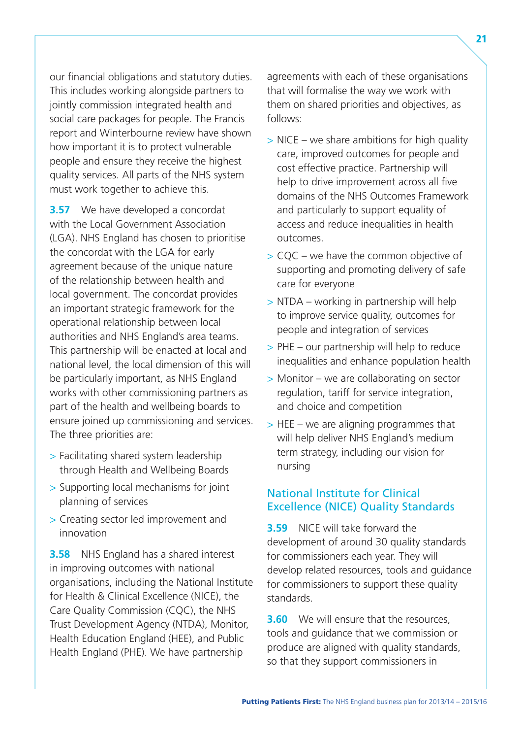our financial obligations and statutory duties. This includes working alongside partners to jointly commission integrated health and social care packages for people. The Francis report and Winterbourne review have shown how important it is to protect vulnerable people and ensure they receive the highest quality services. All parts of the NHS system must work together to achieve this.

**3.57** We have developed a concordat with the Local Government Association (LGA). NHS England has chosen to prioritise the concordat with the LGA for early agreement because of the unique nature of the relationship between health and local government. The concordat provides an important strategic framework for the operational relationship between local authorities and NHS England's area teams. This partnership will be enacted at local and national level, the local dimension of this will be particularly important, as NHS England works with other commissioning partners as part of the health and wellbeing boards to ensure joined up commissioning and services. The three priorities are:

- > Facilitating shared system leadership through Health and Wellbeing Boards
- > Supporting local mechanisms for joint planning of services
- > Creating sector led improvement and innovation

**3.58** NHS England has a shared interest in improving outcomes with national organisations, including the National Institute for Health & Clinical Excellence (NICE), the Care Quality Commission (CQC), the NHS Trust Development Agency (NTDA), Monitor, Health Education England (HEE), and Public Health England (PHE). We have partnership

agreements with each of these organisations that will formalise the way we work with them on shared priorities and objectives, as follows:

- $>$  NICE we share ambitions for high quality care, improved outcomes for people and cost effective practice. Partnership will help to drive improvement across all five domains of the NHS Outcomes Framework and particularly to support equality of access and reduce inequalities in health outcomes.
- > CQC we have the common objective of supporting and promoting delivery of safe care for everyone
- > NTDA working in partnership will help to improve service quality, outcomes for people and integration of services
- > PHE our partnership will help to reduce inequalities and enhance population health
- > Monitor we are collaborating on sector regulation, tariff for service integration, and choice and competition
- $>$  HEE we are aligning programmes that will help deliver NHS England's medium term strategy, including our vision for nursing

#### National Institute for Clinical Excellence (NICE) Quality Standards

**3.59** NICE will take forward the development of around 30 quality standards for commissioners each year. They will develop related resources, tools and guidance for commissioners to support these quality standards.

**3.60** We will ensure that the resources, tools and guidance that we commission or produce are aligned with quality standards, so that they support commissioners in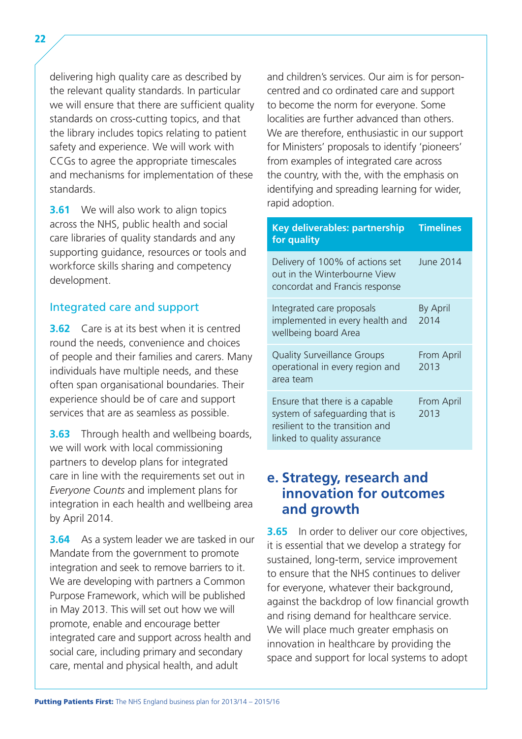<span id="page-27-0"></span>delivering high quality care as described by the relevant quality standards. In particular we will ensure that there are sufficient quality standards on cross-cutting topics, and that the library includes topics relating to patient safety and experience. We will work with CCGs to agree the appropriate timescales and mechanisms for implementation of these standards.

**3.61** We will also work to align topics across the NHS, public health and social care libraries of quality standards and any supporting guidance, resources or tools and workforce skills sharing and competency development.

#### Integrated care and support

**3.62** Care is at its best when it is centred round the needs, convenience and choices of people and their families and carers. Many individuals have multiple needs, and these often span organisational boundaries. Their experience should be of care and support services that are as seamless as possible.

**3.63** Through health and wellbeing boards, we will work with local commissioning partners to develop plans for integrated care in line with the requirements set out in *Everyone Counts* and implement plans for integration in each health and wellbeing area by April 2014.

**3.64** As a system leader we are tasked in our Mandate from the government to promote integration and seek to remove barriers to it. We are developing with partners a Common Purpose Framework, which will be published in May 2013. This will set out how we will promote, enable and encourage better integrated care and support across health and social care, including primary and secondary care, mental and physical health, and adult

and children's services. Our aim is for personcentred and co ordinated care and support to become the norm for everyone. Some localities are further advanced than others. We are therefore, enthusiastic in our support for Ministers' proposals to identify 'pioneers' from examples of integrated care across the country, with the, with the emphasis on identifying and spreading learning for wider, rapid adoption.

#### **Key deliverables: partnership Timelines for quality**

| Delivery of 100% of actions set<br>out in the Winterbourne View<br>concordat and Francis response                                  | June 2014               |
|------------------------------------------------------------------------------------------------------------------------------------|-------------------------|
| Integrated care proposals<br>implemented in every health and<br>wellbeing board Area                                               | <b>By April</b><br>2014 |
| <b>Quality Surveillance Groups</b><br>operational in every region and<br>area team                                                 | From April<br>2013      |
| Ensure that there is a capable<br>system of safeguarding that is<br>resilient to the transition and<br>linked to quality assurance | From April<br>2013      |

## **e. Strategy, research and innovation for outcomes and growth**

**3.65** In order to deliver our core objectives, it is essential that we develop a strategy for sustained, long-term, service improvement to ensure that the NHS continues to deliver for everyone, whatever their background, against the backdrop of low financial growth and rising demand for healthcare service. We will place much greater emphasis on innovation in healthcare by providing the space and support for local systems to adopt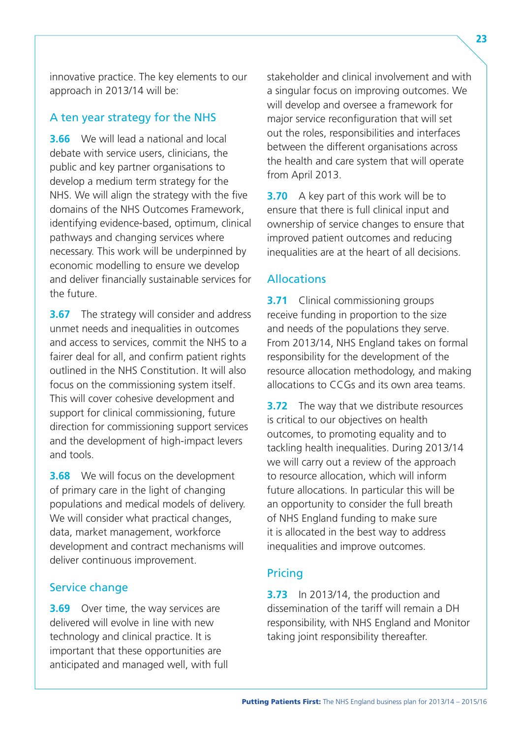innovative practice. The key elements to our approach in 2013/14 will be:

#### A ten year strategy for the NHS

**3.66** We will lead a national and local debate with service users, clinicians, the public and key partner organisations to develop a medium term strategy for the NHS. We will align the strategy with the five domains of the NHS Outcomes Framework, identifying evidence-based, optimum, clinical pathways and changing services where necessary. This work will be underpinned by economic modelling to ensure we develop and deliver financially sustainable services for the future.

**3.67** The strategy will consider and address unmet needs and inequalities in outcomes and access to services, commit the NHS to a fairer deal for all, and confirm patient rights outlined in the NHS Constitution. It will also focus on the commissioning system itself. This will cover cohesive development and support for clinical commissioning, future direction for commissioning support services and the development of high-impact levers and tools.

**3.68** We will focus on the development of primary care in the light of changing populations and medical models of delivery. We will consider what practical changes, data, market management, workforce development and contract mechanisms will deliver continuous improvement.

#### Service change

**3.69** Over time, the way services are delivered will evolve in line with new technology and clinical practice. It is important that these opportunities are anticipated and managed well, with full stakeholder and clinical involvement and with a singular focus on improving outcomes. We will develop and oversee a framework for major service reconfiguration that will set out the roles, responsibilities and interfaces between the different organisations across the health and care system that will operate from April 2013.

**3.70** A key part of this work will be to ensure that there is full clinical input and ownership of service changes to ensure that improved patient outcomes and reducing inequalities are at the heart of all decisions.

#### Allocations

**3.71** Clinical commissioning groups receive funding in proportion to the size and needs of the populations they serve. From 2013/14, NHS England takes on formal responsibility for the development of the resource allocation methodology, and making allocations to CCGs and its own area teams.

**3.72** The way that we distribute resources is critical to our objectives on health outcomes, to promoting equality and to tackling health inequalities. During 2013/14 we will carry out a review of the approach to resource allocation, which will inform future allocations. In particular this will be an opportunity to consider the full breath of NHS England funding to make sure it is allocated in the best way to address inequalities and improve outcomes.

#### Pricing

**3.73** In 2013/14, the production and dissemination of the tariff will remain a DH responsibility, with NHS England and Monitor taking joint responsibility thereafter.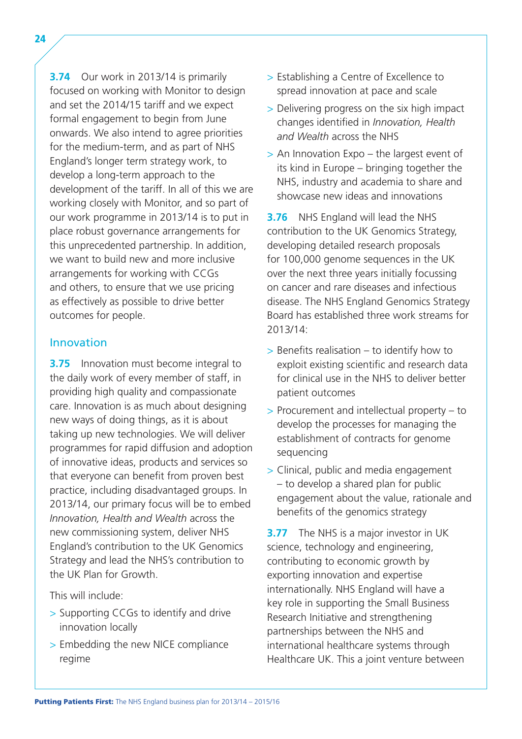**3.74** Our work in 2013/14 is primarily focused on working with Monitor to design and set the 2014/15 tariff and we expect formal engagement to begin from June onwards. We also intend to agree priorities for the medium-term, and as part of NHS England's longer term strategy work, to develop a long-term approach to the development of the tariff. In all of this we are working closely with Monitor, and so part of our work programme in 2013/14 is to put in place robust governance arrangements for this unprecedented partnership. In addition, we want to build new and more inclusive arrangements for working with CCGs and others, to ensure that we use pricing as effectively as possible to drive better outcomes for people.

#### Innovation

**3.75** Innovation must become integral to the daily work of every member of staff, in providing high quality and compassionate care. Innovation is as much about designing new ways of doing things, as it is about taking up new technologies. We will deliver programmes for rapid diffusion and adoption of innovative ideas, products and services so that everyone can benefit from proven best practice, including disadvantaged groups. In 2013/14, our primary focus will be to embed *Innovation, Health and Wealth* across the new commissioning system, deliver NHS England's contribution to the UK Genomics Strategy and lead the NHS's contribution to the UK Plan for Growth.

This will include:

- > Supporting CCGs to identify and drive innovation locally
- > Embedding the new NICE compliance regime
- > Establishing a Centre of Excellence to spread innovation at pace and scale
- > Delivering progress on the six high impact changes identified in *Innovation, Health and Wealth* across the NHS
- > An Innovation Expo the largest event of its kind in Europe – bringing together the NHS, industry and academia to share and showcase new ideas and innovations

**3.76** NHS England will lead the NHS contribution to the UK Genomics Strategy, developing detailed research proposals for 100,000 genome sequences in the UK over the next three years initially focussing on cancer and rare diseases and infectious disease. The NHS England Genomics Strategy Board has established three work streams for 2013/14:

- > Benefits realisation to identify how to exploit existing scientific and research data for clinical use in the NHS to deliver better patient outcomes
- > Procurement and intellectual property to develop the processes for managing the establishment of contracts for genome sequencing
- > Clinical, public and media engagement – to develop a shared plan for public engagement about the value, rationale and benefits of the genomics strategy

**3.77** The NHS is a major investor in UK science, technology and engineering, contributing to economic growth by exporting innovation and expertise internationally. NHS England will have a key role in supporting the Small Business Research Initiative and strengthening partnerships between the NHS and international healthcare systems through Healthcare UK. This a joint venture between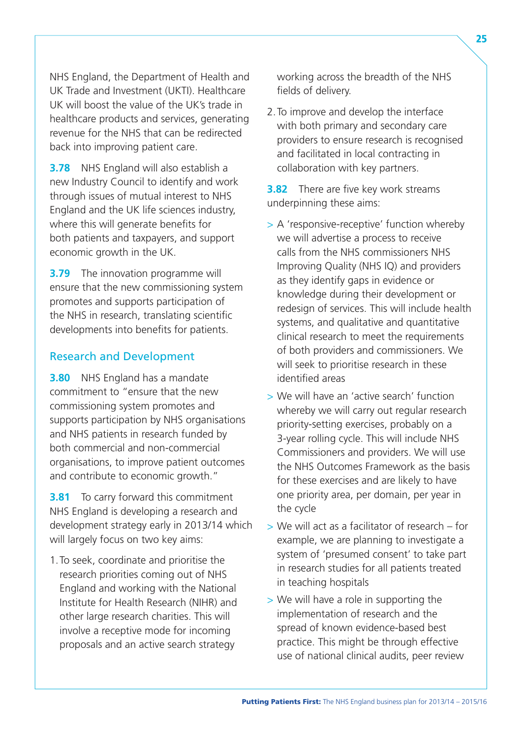NHS England, the Department of Health and UK Trade and Investment (UKTI). Healthcare UK will boost the value of the UK's trade in healthcare products and services, generating revenue for the NHS that can be redirected back into improving patient care.

**3.78** NHS England will also establish a new Industry Council to identify and work through issues of mutual interest to NHS England and the UK life sciences industry, where this will generate benefits for both patients and taxpayers, and support economic growth in the UK.

**3.79** The innovation programme will ensure that the new commissioning system promotes and supports participation of the NHS in research, translating scientific developments into benefits for patients.

#### Research and Development

**3.80** NHS England has a mandate commitment to "ensure that the new commissioning system promotes and supports participation by NHS organisations and NHS patients in research funded by both commercial and non-commercial organisations, to improve patient outcomes and contribute to economic growth."

**3.81** To carry forward this commitment NHS England is developing a research and development strategy early in 2013/14 which will largely focus on two key aims:

1.To seek, coordinate and prioritise the research priorities coming out of NHS England and working with the National Institute for Health Research (NIHR) and other large research charities. This will involve a receptive mode for incoming proposals and an active search strategy

working across the breadth of the NHS fields of delivery.

2.To improve and develop the interface with both primary and secondary care providers to ensure research is recognised and facilitated in local contracting in collaboration with key partners.

**3.82** There are five key work streams underpinning these aims:

- > A 'responsive-receptive' function whereby we will advertise a process to receive calls from the NHS commissioners NHS Improving Quality (NHS IQ) and providers as they identify gaps in evidence or knowledge during their development or redesign of services. This will include health systems, and qualitative and quantitative clinical research to meet the requirements of both providers and commissioners. We will seek to prioritise research in these identified areas
- > We will have an 'active search' function whereby we will carry out regular research priority-setting exercises, probably on a 3-year rolling cycle. This will include NHS Commissioners and providers. We will use the NHS Outcomes Framework as the basis for these exercises and are likely to have one priority area, per domain, per year in the cycle
- > We will act as a facilitator of research for example, we are planning to investigate a system of 'presumed consent' to take part in research studies for all patients treated in teaching hospitals
- > We will have a role in supporting the implementation of research and the spread of known evidence-based best practice. This might be through effective use of national clinical audits, peer review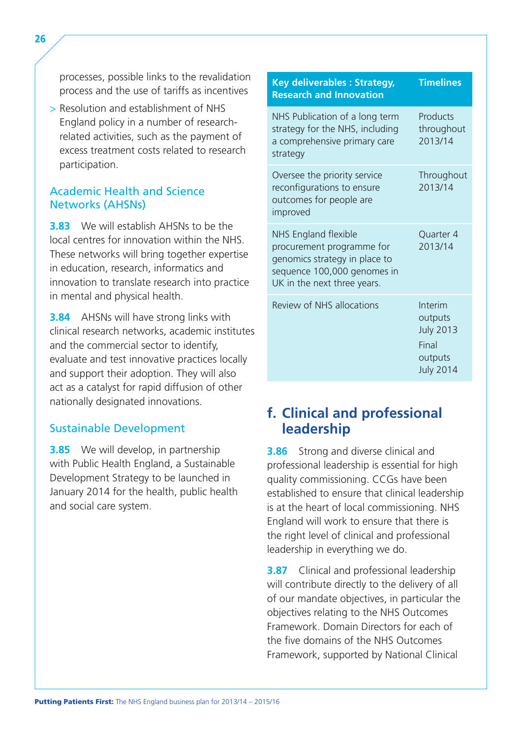processes, possible links to the revalidation process and the use of tariffs as incentives

> Resolution and establishment of NHS England policy in a number of researchrelated activities, such as the payment of excess treatment costs related to research participation.

#### Academic Health and Science Networks (AHSNs)

**3.83** We will establish AHSNs to be the local centres for innovation within the NHS. These networks will bring together expertise in education, research, informatics and innovation to translate research into practice in mental and physical health.

**3.84** AHSNs will have strong links with clinical research networks, academic institutes and the commercial sector to identify, evaluate and test innovative practices locally and support their adoption. They will also act as a catalyst for rapid diffusion of other nationally designated innovations.

#### Sustainable Development

**3.85** We will develop, in partnership with Public Health England, a Sustainable Development Strategy to be launched in January 2014 for the health, public health and social care system.

| <b>Key deliverables: Strategy,</b><br><b>Research and Innovation</b>                                                                             | <b>Timelines</b>                                                               |
|--------------------------------------------------------------------------------------------------------------------------------------------------|--------------------------------------------------------------------------------|
| NHS Publication of a long term<br>strategy for the NHS, including<br>a comprehensive primary care<br>strategy                                    | Products<br>throughout<br>2013/14                                              |
| Oversee the priority service<br>reconfigurations to ensure<br>outcomes for people are<br>improved                                                | Throughout<br>2013/14                                                          |
| NHS England flexible<br>procurement programme for<br>genomics strategy in place to<br>sequence 100,000 genomes in<br>UK in the next three years. | Quarter 4<br>2013/14                                                           |
| Review of NHS allocations                                                                                                                        | Interim<br>outputs<br><b>July 2013</b><br>Final<br>outputs<br><b>July 2014</b> |

## **f. Clinical and professional leadership**

**3.86** Strong and diverse clinical and professional leadership is essential for high quality commissioning. CCGs have been established to ensure that clinical leadership is at the heart of local commissioning. NHS England will work to ensure that there is the right level of clinical and professional leadership in everything we do.

**3.87** Clinical and professional leadership will contribute directly to the delivery of all of our mandate objectives, in particular the objectives relating to the NHS Outcomes Framework. Domain Directors for each of the five domains of the NHS Outcomes Framework, supported by National Clinical

<span id="page-31-0"></span>26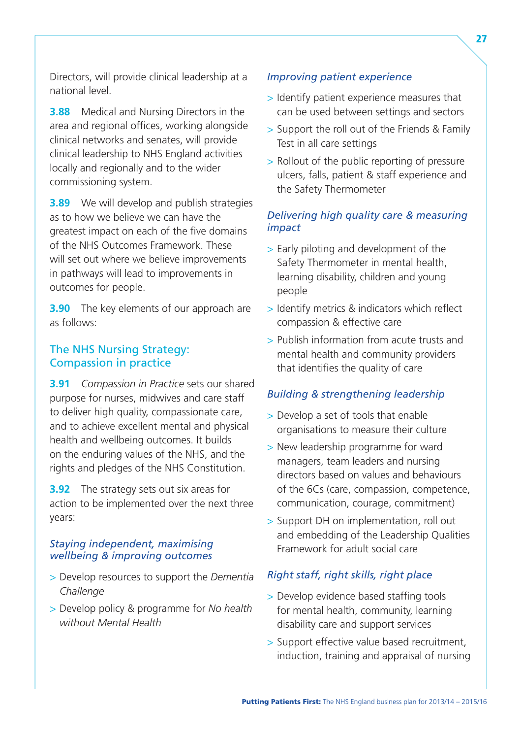Directors, will provide clinical leadership at a national level.

**3.88** Medical and Nursing Directors in the area and regional offices, working alongside clinical networks and senates, will provide clinical leadership to NHS England activities locally and regionally and to the wider commissioning system.

**3.89** We will develop and publish strategies as to how we believe we can have the greatest impact on each of the five domains of the NHS Outcomes Framework. These will set out where we believe improvements in pathways will lead to improvements in outcomes for people.

**3.90** The key elements of our approach are as follows:

#### The NHS Nursing Strategy: Compassion in practice

**3.91** *Compassion in Practice* sets our shared purpose for nurses, midwives and care staff to deliver high quality, compassionate care, and to achieve excellent mental and physical health and wellbeing outcomes. It builds on the enduring values of the NHS, and the rights and pledges of the NHS Constitution.

**3.92** The strategy sets out six areas for action to be implemented over the next three years:

#### *Staying independent, maximising wellbeing & improving outcomes*

- > Develop resources to support the *Dementia Challenge*
- > Develop policy & programme for *No health without Mental Health*

#### *Improving patient experience*

- > Identify patient experience measures that can be used between settings and sectors
- > Support the roll out of the Friends & Family Test in all care settings
- > Rollout of the public reporting of pressure ulcers, falls, patient & staff experience and the Safety Thermometer

#### *Delivering high quality care & measuring impact*

- > Early piloting and development of the Safety Thermometer in mental health, learning disability, children and young people
- > Identify metrics & indicators which reflect compassion & effective care
- > Publish information from acute trusts and mental health and community providers that identifies the quality of care

#### *Building & strengthening leadership*

- > Develop a set of tools that enable organisations to measure their culture
- > New leadership programme for ward managers, team leaders and nursing directors based on values and behaviours of the 6Cs (care, compassion, competence, communication, courage, commitment)
- > Support DH on implementation, roll out and embedding of the Leadership Qualities Framework for adult social care

#### *Right staff, right skills, right place*

- > Develop evidence based staffing tools for mental health, community, learning disability care and support services
- > Support effective value based recruitment, induction, training and appraisal of nursing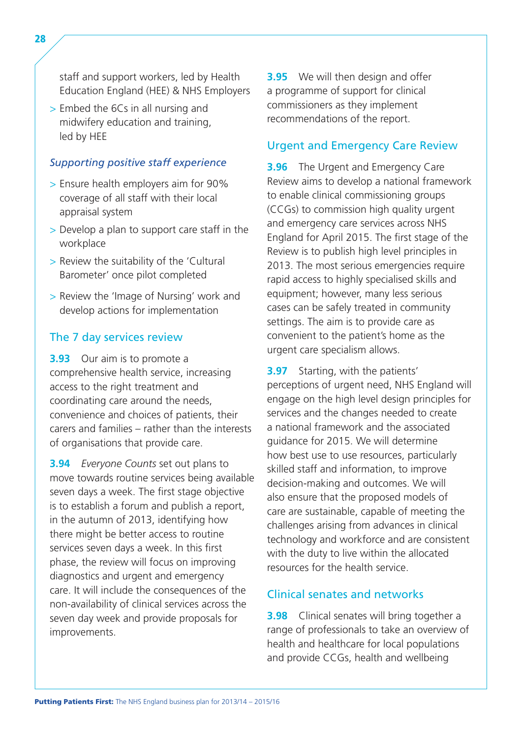staff and support workers, led by Health Education England (HEE) & NHS Employers

> Embed the 6Cs in all nursing and midwifery education and training, led by HEE

#### *Supporting positive staff experience*

- > Ensure health employers aim for 90% coverage of all staff with their local appraisal system
- > Develop a plan to support care staff in the workplace
- > Review the suitability of the 'Cultural Barometer' once pilot completed
- > Review the 'Image of Nursing' work and develop actions for implementation

#### The 7 day services review

**3.93** Our aim is to promote a comprehensive health service, increasing access to the right treatment and coordinating care around the needs, convenience and choices of patients, their carers and families – rather than the interests of organisations that provide care.

**3.94** *Everyone Counts* set out plans to move towards routine services being available seven days a week. The first stage objective is to establish a forum and publish a report, in the autumn of 2013, identifying how there might be better access to routine services seven days a week. In this first phase, the review will focus on improving diagnostics and urgent and emergency care. It will include the consequences of the non-availability of clinical services across the seven day week and provide proposals for improvements.

**3.95** We will then design and offer a programme of support for clinical commissioners as they implement recommendations of the report.

#### Urgent and Emergency Care Review

**3.96** The Urgent and Emergency Care Review aims to develop a national framework to enable clinical commissioning groups (CCGs) to commission high quality urgent and emergency care services across NHS England for April 2015. The first stage of the Review is to publish high level principles in 2013. The most serious emergencies require rapid access to highly specialised skills and equipment; however, many less serious cases can be safely treated in community settings. The aim is to provide care as convenient to the patient's home as the urgent care specialism allows.

**3.97** Starting, with the patients' perceptions of urgent need, NHS England will engage on the high level design principles for services and the changes needed to create a national framework and the associated guidance for 2015. We will determine how best use to use resources, particularly skilled staff and information, to improve decision-making and outcomes. We will also ensure that the proposed models of care are sustainable, capable of meeting the challenges arising from advances in clinical technology and workforce and are consistent with the duty to live within the allocated resources for the health service.

#### Clinical senates and networks

**3.98** Clinical senates will bring together a range of professionals to take an overview of health and healthcare for local populations and provide CCGs, health and wellbeing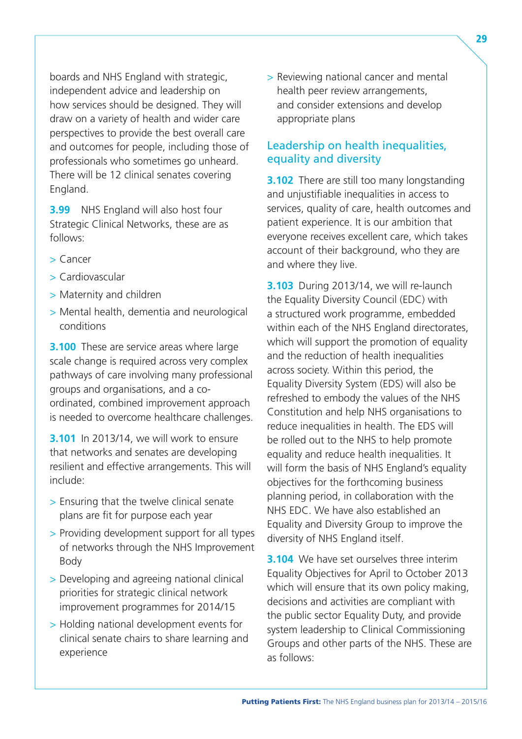boards and NHS England with strategic, independent advice and leadership on how services should be designed. They will draw on a variety of health and wider care perspectives to provide the best overall care and outcomes for people, including those of professionals who sometimes go unheard. There will be 12 clinical senates covering England.

**3.99** NHS England will also host four Strategic Clinical Networks, these are as follows:

- > Cancer
- > Cardiovascular
- > Maternity and children
- > Mental health, dementia and neurological conditions

**3.100** These are service areas where large scale change is required across very complex pathways of care involving many professional groups and organisations, and a coordinated, combined improvement approach is needed to overcome healthcare challenges.

**3.101** In 2013/14, we will work to ensure that networks and senates are developing resilient and effective arrangements. This will include:

- > Ensuring that the twelve clinical senate plans are fit for purpose each year
- > Providing development support for all types of networks through the NHS Improvement Body
- > Developing and agreeing national clinical priorities for strategic clinical network improvement programmes for 2014/15
- > Holding national development events for clinical senate chairs to share learning and experience

> Reviewing national cancer and mental health peer review arrangements, and consider extensions and develop appropriate plans

#### Leadership on health inequalities, equality and diversity

**3.102** There are still too many longstanding and unjustifiable inequalities in access to services, quality of care, health outcomes and patient experience. It is our ambition that everyone receives excellent care, which takes account of their background, who they are and where they live.

**3.103** During 2013/14, we will re-launch the Equality Diversity Council (EDC) with a structured work programme, embedded within each of the NHS England directorates, which will support the promotion of equality and the reduction of health inequalities across society. Within this period, the Equality Diversity System (EDS) will also be refreshed to embody the values of the NHS Constitution and help NHS organisations to reduce inequalities in health. The EDS will be rolled out to the NHS to help promote equality and reduce health inequalities. It will form the basis of NHS England's equality objectives for the forthcoming business planning period, in collaboration with the NHS EDC. We have also established an Equality and Diversity Group to improve the diversity of NHS England itself.

**3.104** We have set ourselves three interim Equality Objectives for April to October 2013 which will ensure that its own policy making, decisions and activities are compliant with the public sector Equality Duty, and provide system leadership to Clinical Commissioning Groups and other parts of the NHS. These are as follows: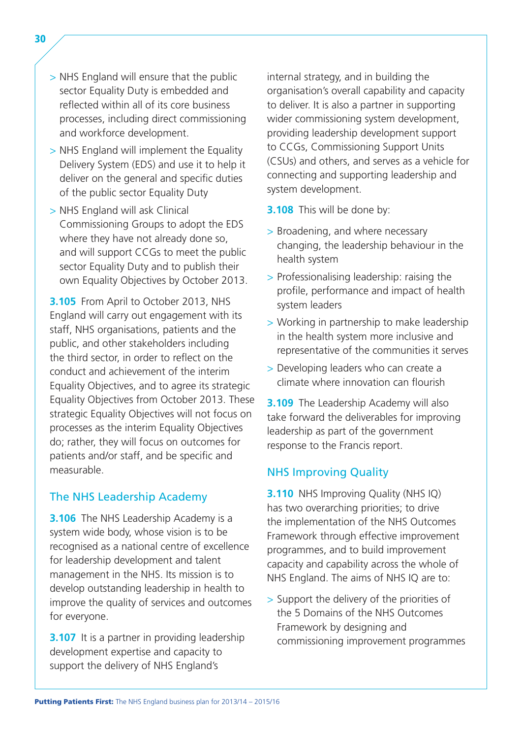- > NHS England will ensure that the public sector Equality Duty is embedded and reflected within all of its core business processes, including direct commissioning and workforce development.
- > NHS England will implement the Equality Delivery System (EDS) and use it to help it deliver on the general and specific duties of the public sector Equality Duty
- > NHS England will ask Clinical Commissioning Groups to adopt the EDS where they have not already done so, and will support CCGs to meet the public sector Equality Duty and to publish their own Equality Objectives by October 2013.

**3.105** From April to October 2013, NHS England will carry out engagement with its staff, NHS organisations, patients and the public, and other stakeholders including the third sector, in order to reflect on the conduct and achievement of the interim Equality Objectives, and to agree its strategic Equality Objectives from October 2013. These strategic Equality Objectives will not focus on processes as the interim Equality Objectives do; rather, they will focus on outcomes for patients and/or staff, and be specific and measurable.

#### The NHS Leadership Academy

**3.106** The NHS Leadership Academy is a system wide body, whose vision is to be recognised as a national centre of excellence for leadership development and talent management in the NHS. Its mission is to develop outstanding leadership in health to improve the quality of services and outcomes for everyone.

**3.107** It is a partner in providing leadership development expertise and capacity to support the delivery of NHS England's

internal strategy, and in building the organisation's overall capability and capacity to deliver. It is also a partner in supporting wider commissioning system development, providing leadership development support to CCGs, Commissioning Support Units (CSUs) and others, and serves as a vehicle for connecting and supporting leadership and system development.

- **3.108** This will be done by:
- > Broadening, and where necessary changing, the leadership behaviour in the health system
- > Professionalising leadership: raising the profile, performance and impact of health system leaders
- > Working in partnership to make leadership in the health system more inclusive and representative of the communities it serves
- > Developing leaders who can create a climate where innovation can flourish

**3.109** The Leadership Academy will also take forward the deliverables for improving leadership as part of the government response to the Francis report.

#### NHS Improving Quality

**3.110** NHS Improving Quality (NHS IQ) has two overarching priorities; to drive the implementation of the NHS Outcomes Framework through effective improvement programmes, and to build improvement capacity and capability across the whole of NHS England. The aims of NHS IQ are to:

> Support the delivery of the priorities of the 5 Domains of the NHS Outcomes Framework by designing and commissioning improvement programmes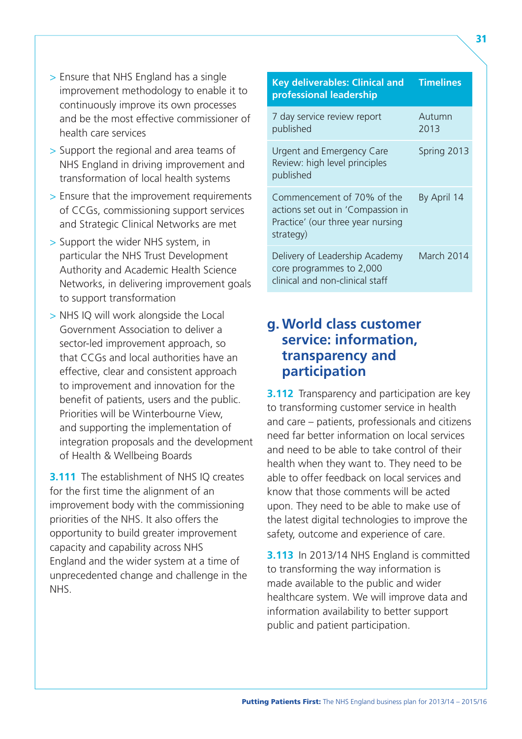- <span id="page-36-0"></span>> Ensure that NHS England has a single improvement methodology to enable it to continuously improve its own processes and be the most effective commissioner of health care services
- > Support the regional and area teams of NHS England in driving improvement and transformation of local health systems
- > Ensure that the improvement requirements of CCGs, commissioning support services and Strategic Clinical Networks are met
- > Support the wider NHS system, in particular the NHS Trust Development Authority and Academic Health Science Networks, in delivering improvement goals to support transformation
- > NHS IQ will work alongside the Local Government Association to deliver a sector-led improvement approach, so that CCGs and local authorities have an effective, clear and consistent approach to improvement and innovation for the benefit of patients, users and the public. Priorities will be Winterbourne View, and supporting the implementation of integration proposals and the development of Health & Wellbeing Boards

**3.111** The establishment of NHS IO creates for the first time the alignment of an improvement body with the commissioning priorities of the NHS. It also offers the opportunity to build greater improvement capacity and capability across NHS England and the wider system at a time of unprecedented change and challenge in the NHS.

### **Key deliverables: Clinical and Timelines professional leadership**  7 day service review report Autumn published 2013 Urgent and Emergency Care Spring 2013 Review: high level principles published Commencement of 70% of the By April 14 actions set out in 'Compassion in Practice' (our three year nursing strategy) Delivery of Leadership Academy March 2014 core programmes to 2,000 clinical and non-clinical staff

## **g. World class customer service: information, transparency and participation**

**3.112** Transparency and participation are key to transforming customer service in health and care – patients, professionals and citizens need far better information on local services and need to be able to take control of their health when they want to. They need to be able to offer feedback on local services and know that those comments will be acted upon. They need to be able to make use of the latest digital technologies to improve the safety, outcome and experience of care.

**3.113** In 2013/14 NHS England is committed to transforming the way information is made available to the public and wider healthcare system. We will improve data and information availability to better support public and patient participation.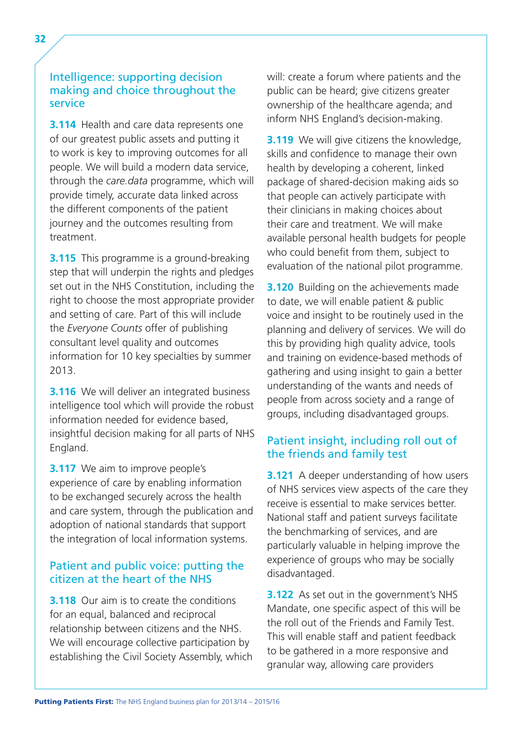**3.114** Health and care data represents one of our greatest public assets and putting it to work is key to improving outcomes for all people. We will build a modern data service, through the *care.data* programme, which will provide timely, accurate data linked across the different components of the patient journey and the outcomes resulting from treatment.

**3.115** This programme is a ground-breaking step that will underpin the rights and pledges set out in the NHS Constitution, including the right to choose the most appropriate provider and setting of care. Part of this will include the *Everyone Counts* offer of publishing consultant level quality and outcomes information for 10 key specialties by summer 2013.

**3.116** We will deliver an integrated business intelligence tool which will provide the robust information needed for evidence based, insightful decision making for all parts of NHS England.

**3.117** We aim to improve people's experience of care by enabling information to be exchanged securely across the health and care system, through the publication and adoption of national standards that support the integration of local information systems.

#### Patient and public voice: putting the citizen at the heart of the NHS

**3.118** Our aim is to create the conditions for an equal, balanced and reciprocal relationship between citizens and the NHS. We will encourage collective participation by establishing the Civil Society Assembly, which will: create a forum where patients and the public can be heard; give citizens greater ownership of the healthcare agenda; and inform NHS England's decision-making.

**3.119** We will give citizens the knowledge, skills and confidence to manage their own health by developing a coherent, linked package of shared-decision making aids so that people can actively participate with their clinicians in making choices about their care and treatment. We will make available personal health budgets for people who could benefit from them, subject to evaluation of the national pilot programme.

**3.120** Building on the achievements made to date, we will enable patient & public voice and insight to be routinely used in the planning and delivery of services. We will do this by providing high quality advice, tools and training on evidence-based methods of gathering and using insight to gain a better understanding of the wants and needs of people from across society and a range of groups, including disadvantaged groups.

#### Patient insight, including roll out of the friends and family test

**3.121** A deeper understanding of how users of NHS services view aspects of the care they receive is essential to make services better. National staff and patient surveys facilitate the benchmarking of services, and are particularly valuable in helping improve the experience of groups who may be socially disadvantaged.

**3.122** As set out in the government's NHS Mandate, one specific aspect of this will be the roll out of the Friends and Family Test. This will enable staff and patient feedback to be gathered in a more responsive and granular way, allowing care providers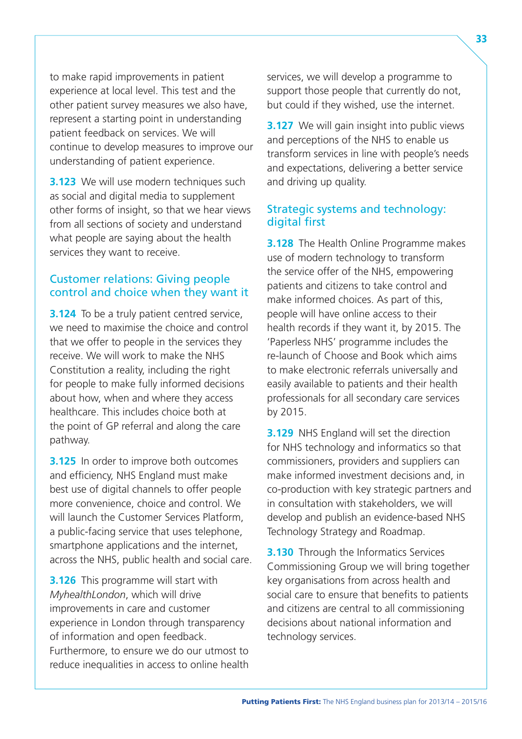to make rapid improvements in patient experience at local level. This test and the other patient survey measures we also have, represent a starting point in understanding patient feedback on services. We will continue to develop measures to improve our understanding of patient experience.

**3.123** We will use modern techniques such as social and digital media to supplement other forms of insight, so that we hear views from all sections of society and understand what people are saying about the health services they want to receive.

#### Customer relations: Giving people control and choice when they want it

**3.124** To be a truly patient centred service, we need to maximise the choice and control that we offer to people in the services they receive. We will work to make the NHS Constitution a reality, including the right for people to make fully informed decisions about how, when and where they access healthcare. This includes choice both at the point of GP referral and along the care pathway.

**3.125** In order to improve both outcomes and efficiency, NHS England must make best use of digital channels to offer people more convenience, choice and control. We will launch the Customer Services Platform, a public-facing service that uses telephone, smartphone applications and the internet, across the NHS, public health and social care.

**3.126** This programme will start with *MyhealthLondon*, which will drive improvements in care and customer experience in London through transparency of information and open feedback. Furthermore, to ensure we do our utmost to reduce inequalities in access to online health services, we will develop a programme to support those people that currently do not, but could if they wished, use the internet.

**3.127** We will gain insight into public views and perceptions of the NHS to enable us transform services in line with people's needs and expectations, delivering a better service and driving up quality.

#### Strategic systems and technology: digital first

**3.128** The Health Online Programme makes use of modern technology to transform the service offer of the NHS, empowering patients and citizens to take control and make informed choices. As part of this, people will have online access to their health records if they want it, by 2015. The 'Paperless NHS' programme includes the re-launch of Choose and Book which aims to make electronic referrals universally and easily available to patients and their health professionals for all secondary care services by 2015.

**3.129** NHS England will set the direction for NHS technology and informatics so that commissioners, providers and suppliers can make informed investment decisions and, in co-production with key strategic partners and in consultation with stakeholders, we will develop and publish an evidence-based NHS Technology Strategy and Roadmap.

**3.130** Through the Informatics Services Commissioning Group we will bring together key organisations from across health and social care to ensure that benefits to patients and citizens are central to all commissioning decisions about national information and technology services.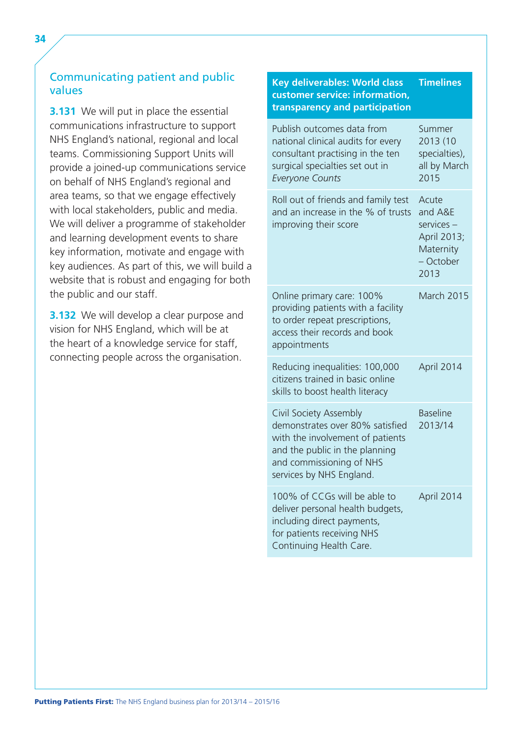#### Communicating patient and public values

**3.131** We will put in place the essential communications infrastructure to support NHS England's national, regional and local teams. Commissioning Support Units will provide a joined-up communications service on behalf of NHS England's regional and area teams, so that we engage effectively with local stakeholders, public and media. We will deliver a programme of stakeholder and learning development events to share key information, motivate and engage with key audiences. As part of this, we will build a website that is robust and engaging for both the public and our staff.

**3.132** We will develop a clear purpose and vision for NHS England, which will be at the heart of a knowledge service for staff, connecting people across the organisation.

#### **Key deliverables: World class Timelines customer service: information, transparency and participation**  Publish outcomes data from Summer national clinical audits for every 2013 (10 consultant practising in the ten specialties), surgical specialties set out in all by March *Everyone Counts* 2015 Roll out of friends and family test Acute and an increase in the % of trusts and A&E  $improving$  their score services – April 2013; **Maternity** – October 2013 Online primary care: 100% March 2015 providing patients with a facility to order repeat prescriptions, access their records and book appointments Reducing inequalities: 100,000 April 2014 citizens trained in basic online skills to boost health literacy Civil Society Assembly Baseline demonstrates over 80% satisfied 2013/14 with the involvement of patients and the public in the planning and commissioning of NHS services by NHS England. 100% of CCGs will be able to April 2014 deliver personal health budgets, including direct payments, for patients receiving NHS Continuing Health Care.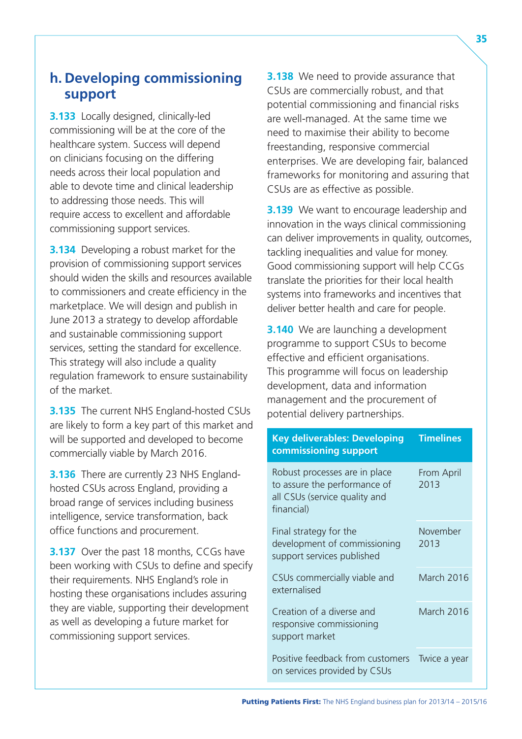## <span id="page-40-0"></span>**h. Developing commissioning support**

**3.133** Locally designed, clinically-led commissioning will be at the core of the healthcare system. Success will depend on clinicians focusing on the differing needs across their local population and able to devote time and clinical leadership to addressing those needs. This will require access to excellent and affordable commissioning support services.

**3.134** Developing a robust market for the provision of commissioning support services should widen the skills and resources available to commissioners and create efficiency in the marketplace. We will design and publish in June 2013 a strategy to develop affordable and sustainable commissioning support services, setting the standard for excellence. This strategy will also include a quality regulation framework to ensure sustainability of the market.

**3.135** The current NHS England-hosted CSUs are likely to form a key part of this market and will be supported and developed to become commercially viable by March 2016.

**3.136** There are currently 23 NHS Englandhosted CSUs across England, providing a broad range of services including business intelligence, service transformation, back office functions and procurement.

**3.137** Over the past 18 months, CCGs have been working with CSUs to define and specify their requirements. NHS England's role in hosting these organisations includes assuring they are viable, supporting their development as well as developing a future market for commissioning support services.

**3.138** We need to provide assurance that CSUs are commercially robust, and that potential commissioning and financial risks are well-managed. At the same time we need to maximise their ability to become freestanding, responsive commercial enterprises. We are developing fair, balanced frameworks for monitoring and assuring that CSUs are as effective as possible.

**3.139** We want to encourage leadership and innovation in the ways clinical commissioning can deliver improvements in quality, outcomes, tackling inequalities and value for money. Good commissioning support will help CCGs translate the priorities for their local health systems into frameworks and incentives that deliver better health and care for people.

**3.140** We are launching a development programme to support CSUs to become effective and efficient organisations. This programme will focus on leadership development, data and information management and the procurement of potential delivery partnerships.

| <b>Key deliverables: Developing</b><br>commissioning support                                                 | <b>Timelines</b>   |  |
|--------------------------------------------------------------------------------------------------------------|--------------------|--|
| Robust processes are in place<br>to assure the performance of<br>all CSUs (service quality and<br>financial) | From April<br>2013 |  |
| Final strategy for the<br>development of commissioning<br>support services published                         | November<br>2013   |  |
| CSUs commercially viable and<br>externalised                                                                 | March 2016         |  |
| Creation of a diverse and<br>responsive commissioning<br>support market                                      | March 2016         |  |
| Positive feedback from customers<br>on services provided by CSUs                                             | Twice a year       |  |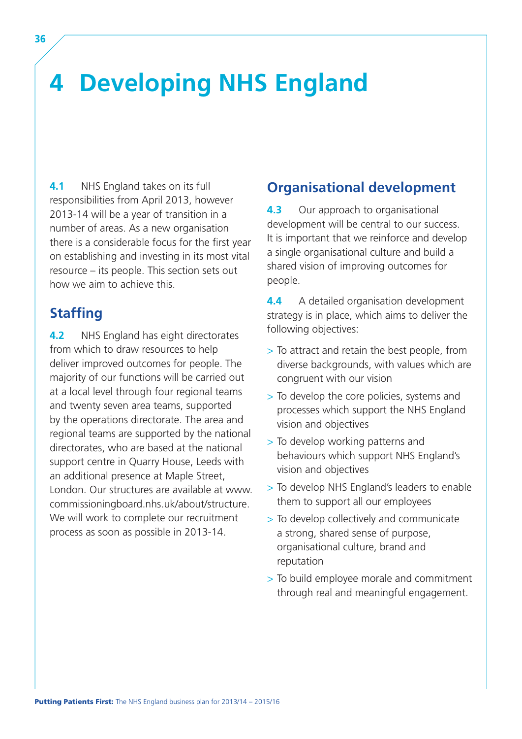## <span id="page-41-0"></span>**4 Developing NHS England**

**4.1** NHS England takes on its full responsibilities from April 2013, however 2013-14 will be a year of transition in a number of areas. As a new organisation there is a considerable focus for the first year on establishing and investing in its most vital resource – its people. This section sets out how we aim to achieve this.

## **Staffing**

**4.2** NHS England has eight directorates from which to draw resources to help deliver improved outcomes for people. The majority of our functions will be carried out at a local level through four regional teams and twenty seven area teams, supported by the operations directorate. The area and regional teams are supported by the national directorates, who are based at the national support centre in Quarry House, Leeds with an additional presence at Maple Street, London. Our structures are available at [www.](http://www.commissioningboard.nhs.uk/about/structure) [commissioningboard.nhs.uk/about/structure.](http://www.commissioningboard.nhs.uk/about/structure) We will work to complete our recruitment process as soon as possible in 2013-14.

## **Organisational development**

**4.3** Our approach to organisational development will be central to our success. It is important that we reinforce and develop a single organisational culture and build a shared vision of improving outcomes for people.

**4.4** A detailed organisation development strategy is in place, which aims to deliver the following objectives:

- > To attract and retain the best people, from diverse backgrounds, with values which are congruent with our vision
- > To develop the core policies, systems and processes which support the NHS England vision and objectives
- > To develop working patterns and behaviours which support NHS England's vision and objectives
- > To develop NHS England's leaders to enable them to support all our employees
- > To develop collectively and communicate a strong, shared sense of purpose, organisational culture, brand and reputation
- > To build employee morale and commitment through real and meaningful engagement.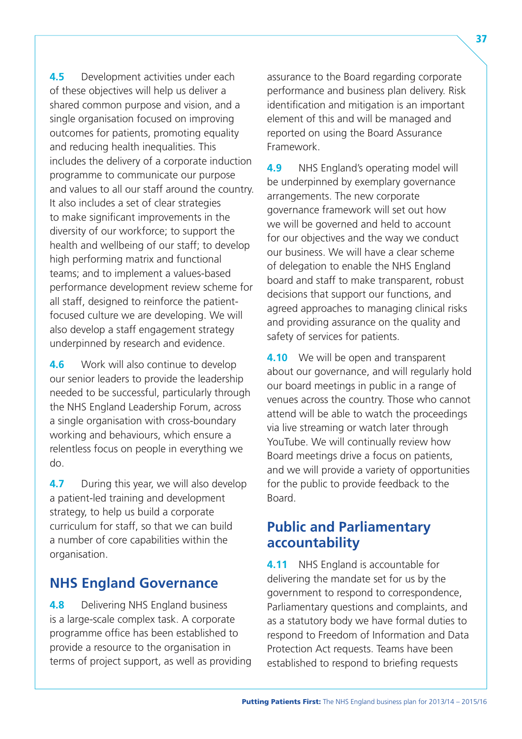**4.5** Development activities under each of these objectives will help us deliver a shared common purpose and vision, and a single organisation focused on improving outcomes for patients, promoting equality and reducing health inequalities. This includes the delivery of a corporate induction programme to communicate our purpose and values to all our staff around the country. It also includes a set of clear strategies to make significant improvements in the diversity of our workforce; to support the health and wellbeing of our staff; to develop high performing matrix and functional teams; and to implement a values-based performance development review scheme for all staff, designed to reinforce the patientfocused culture we are developing. We will also develop a staff engagement strategy underpinned by research and evidence.

**4.6** Work will also continue to develop our senior leaders to provide the leadership needed to be successful, particularly through the NHS England Leadership Forum, across a single organisation with cross-boundary working and behaviours, which ensure a relentless focus on people in everything we do.

**4.7** During this year, we will also develop a patient-led training and development strategy, to help us build a corporate curriculum for staff, so that we can build a number of core capabilities within the organisation.

## **NHS England Governance**

**4.8 Delivering NHS England business** is a large-scale complex task. A corporate programme office has been established to provide a resource to the organisation in terms of project support, as well as providing assurance to the Board regarding corporate performance and business plan delivery. Risk identification and mitigation is an important element of this and will be managed and reported on using the Board Assurance Framework.

**4.9** NHS England's operating model will be underpinned by exemplary governance arrangements. The new corporate governance framework will set out how we will be governed and held to account for our objectives and the way we conduct our business. We will have a clear scheme of delegation to enable the NHS England board and staff to make transparent, robust decisions that support our functions, and agreed approaches to managing clinical risks and providing assurance on the quality and safety of services for patients.

**4.10** We will be open and transparent about our governance, and will regularly hold our board meetings in public in a range of venues across the country. Those who cannot attend will be able to watch the proceedings via live streaming or watch later through YouTube. We will continually review how Board meetings drive a focus on patients, and we will provide a variety of opportunities for the public to provide feedback to the Board.

### **Public and Parliamentary accountability**

**4.11** NHS England is accountable for delivering the mandate set for us by the government to respond to correspondence, Parliamentary questions and complaints, and as a statutory body we have formal duties to respond to Freedom of Information and Data Protection Act requests. Teams have been established to respond to briefing requests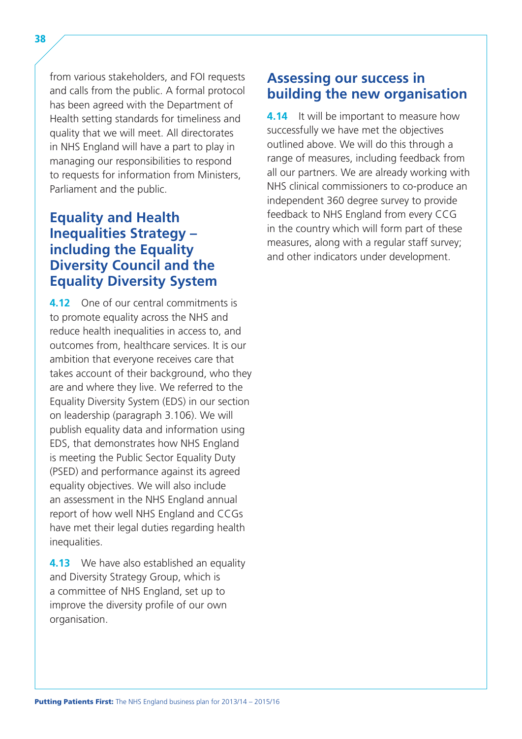38

from various stakeholders, and FOI requests and calls from the public. A formal protocol has been agreed with the Department of Health setting standards for timeliness and quality that we will meet. All directorates in NHS England will have a part to play in managing our responsibilities to respond to requests for information from Ministers, Parliament and the public.

## **Equality and Health Inequalities Strategy – including the Equality Diversity Council and the Equality Diversity System**

**4.12** One of our central commitments is to promote equality across the NHS and reduce health inequalities in access to, and outcomes from, healthcare services. It is our ambition that everyone receives care that takes account of their background, who they are and where they live. We referred to the Equality Diversity System (EDS) in our section on leadership (paragraph 3.106). We will publish equality data and information using EDS, that demonstrates how NHS England is meeting the Public Sector Equality Duty (PSED) and performance against its agreed equality objectives. We will also include an assessment in the NHS England annual report of how well NHS England and CCGs have met their legal duties regarding health inequalities.

**4.13** We have also established an equality and Diversity Strategy Group, which is a committee of NHS England, set up to improve the diversity profile of our own organisation.

## **Assessing our success in building the new organisation**

**4.14** It will be important to measure how successfully we have met the objectives outlined above. We will do this through a range of measures, including feedback from all our partners. We are already working with NHS clinical commissioners to co-produce an independent 360 degree survey to provide feedback to NHS England from every CCG in the country which will form part of these measures, along with a regular staff survey; and other indicators under development.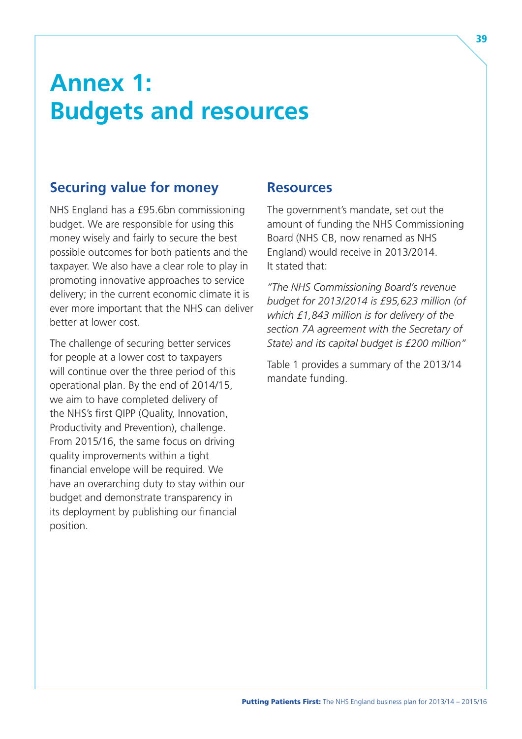## <span id="page-44-0"></span>**Annex 1: Budgets and resources**

## **Securing value for money**

NHS England has a £95.6bn commissioning budget. We are responsible for using this money wisely and fairly to secure the best possible outcomes for both patients and the taxpayer. We also have a clear role to play in promoting innovative approaches to service delivery; in the current economic climate it is ever more important that the NHS can deliver better at lower cost.

The challenge of securing better services for people at a lower cost to taxpayers will continue over the three period of this operational plan. By the end of 2014/15, we aim to have completed delivery of the NHS's first QIPP (Quality, Innovation, Productivity and Prevention), challenge. From 2015/16, the same focus on driving quality improvements within a tight financial envelope will be required. We have an overarching duty to stay within our budget and demonstrate transparency in its deployment by publishing our financial position.

#### **Resources**

The government's mandate, set out the amount of funding the NHS Commissioning Board (NHS CB, now renamed as NHS England) would receive in 2013/2014. It stated that:

*"The NHS Commissioning Board's revenue budget for 2013/2014 is £95,623 million (of which £1,843 million is for delivery of the section 7A agreement with the Secretary of State) and its capital budget is £200 million"* 

Table 1 provides a summary of the 2013/14 mandate funding.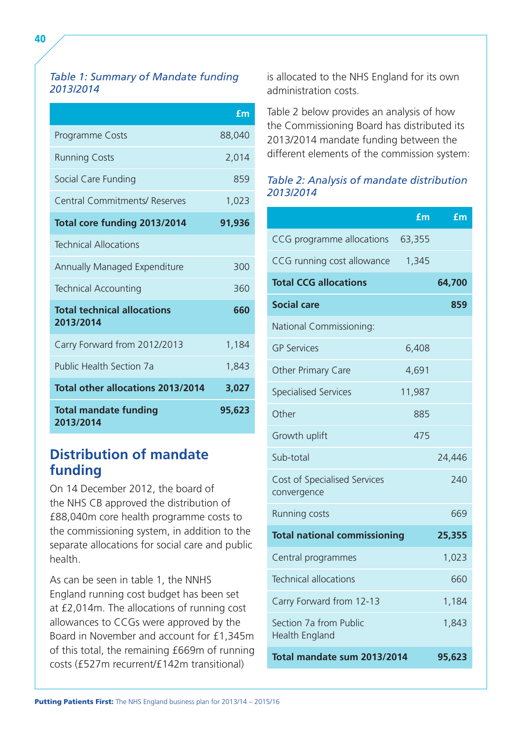#### *Table 1: Summary of Mandate funding 2013/2014*

|                                                 | £m     |
|-------------------------------------------------|--------|
| Programme Costs                                 | 88,040 |
| <b>Running Costs</b>                            | 2,014  |
| Social Care Funding                             | 859    |
| <b>Central Commitments/ Reserves</b>            | 1,023  |
| Total core funding 2013/2014                    | 91,936 |
| <b>Technical Allocations</b>                    |        |
| <b>Annually Managed Expenditure</b>             | 300    |
| <b>Technical Accounting</b>                     | 360    |
| <b>Total technical allocations</b><br>2013/2014 | 660    |
| Carry Forward from 2012/2013                    | 1,184  |
| <b>Public Health Section 7a</b>                 | 1,843  |
| <b>Total other allocations 2013/2014</b>        | 3,027  |
| <b>Total mandate funding</b><br>2013/2014       | 95,623 |

## **Distribution of mandate funding**

On 14 December 2012, the board of the NHS CB approved the distribution of £88,040m core health programme costs to the commissioning system, in addition to the separate allocations for social care and public health.

As can be seen in table 1, the NNHS England running cost budget has been set at £2,014m. The allocations of running cost allowances to CCGs were approved by the Board in November and account for £1,345m of this total, the remaining £669m of running costs (£527m recurrent/£142m transitional)

is allocated to the NHS England for its own administration costs.

Table 2 below provides an analysis of how the Commissioning Board has distributed its 2013/2014 mandate funding between the different elements of the commission system:

#### *Table 2: Analysis of mandate distribution 2013/2014*

|                                             | £m     | £m     |
|---------------------------------------------|--------|--------|
| CCG programme allocations                   | 63,355 |        |
| CCG running cost allowance                  | 1,345  |        |
| <b>Total CCG allocations</b>                |        | 64,700 |
| <b>Social care</b>                          |        | 859    |
| National Commissioning:                     |        |        |
| <b>GP Services</b>                          | 6,408  |        |
| Other Primary Care                          | 4,691  |        |
| <b>Specialised Services</b>                 | 11,987 |        |
| Other                                       | 885    |        |
| Growth uplift                               | 475    |        |
| Sub-total                                   |        | 24,446 |
| Cost of Specialised Services<br>convergence |        | 240    |
| <b>Running costs</b>                        |        | 669    |
| <b>Total national commissioning</b>         |        | 25,355 |
| Central programmes                          |        | 1,023  |
| <b>Technical allocations</b>                |        | 660    |
| Carry Forward from 12-13                    |        | 1,184  |
| Section 7a from Public<br>Health England    |        | 1,843  |
| Total mandate sum 2013/2014                 |        | 95,623 |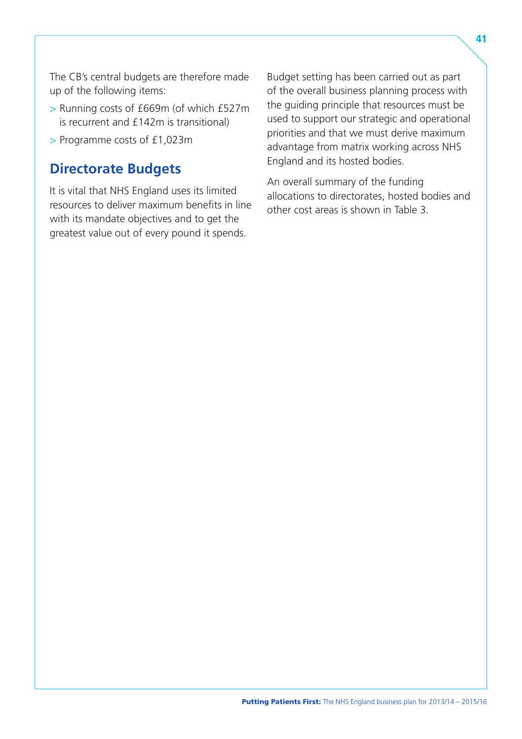The CB's central budgets are therefore made up of the following items:

- > Running costs of £669m (of which £527m is recurrent and £142m is transitional)
- > Programme costs of £1,023m

### **Directorate Budgets**

It is vital that NHS England uses its limited resources to deliver maximum benefits in line with its mandate objectives and to get the greatest value out of every pound it spends.

Budget setting has been carried out as part of the overall business planning process with the guiding principle that resources must be used to support our strategic and operational priorities and that we must derive maximum advantage from matrix working across NHS England and its hosted bodies.

An overall summary of the funding allocations to directorates, hosted bodies and other cost areas is shown in Table 3.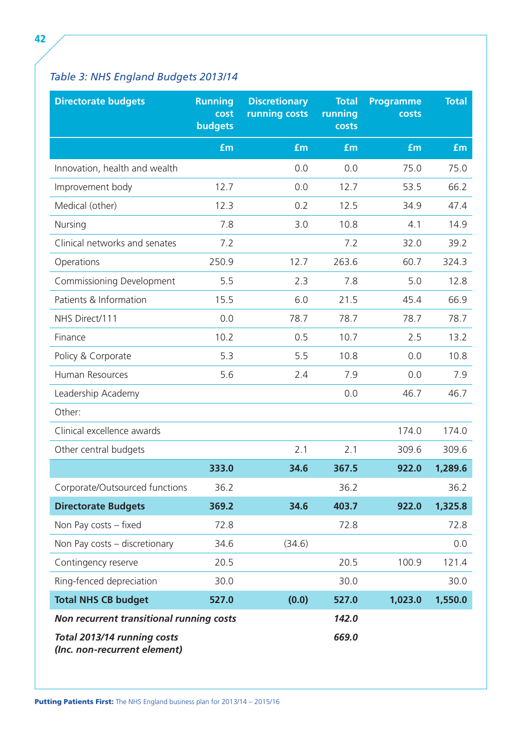## *Table 3: NHS England Budgets 2013/14*

| <b>Directorate budgets</b>                                  | <b>Running</b><br>cost<br>budgets | <b>Discretionary</b><br><b>running costs</b> | <b>Total</b><br>running<br>costs | <b>Programme</b><br>costs | <b>Total</b> |
|-------------------------------------------------------------|-----------------------------------|----------------------------------------------|----------------------------------|---------------------------|--------------|
|                                                             | £m                                | £m                                           | <b>fm</b>                        | <b>fm</b>                 | <b>£m</b>    |
| Innovation, health and wealth                               |                                   | 0.0                                          | 0.0                              | 75.0                      | 75.0         |
| Improvement body                                            | 12.7                              | 0.0                                          | 12.7                             | 53.5                      | 66.2         |
| Medical (other)                                             | 12.3                              | 0.2                                          | 12.5                             | 34.9                      | 47.4         |
| Nursing                                                     | 7.8                               | 3.0                                          | 10.8                             | 4.1                       | 14.9         |
| Clinical networks and senates                               | 7.2                               |                                              | 7.2                              | 32.0                      | 39.2         |
| Operations                                                  | 250.9                             | 12.7                                         | 263.6                            | 60.7                      | 324.3        |
| Commissioning Development                                   | 5.5                               | 2.3                                          | 7.8                              | 5.0                       | 12.8         |
| Patients & Information                                      | 15.5                              | 6.0                                          | 21.5                             | 45.4                      | 66.9         |
| NHS Direct/111                                              | 0.0                               | 78.7                                         | 78.7                             | 78.7                      | 78.7         |
| Finance                                                     | 10.2                              | 0.5                                          | 10.7                             | 2.5                       | 13.2         |
| Policy & Corporate                                          | 5.3                               | 5.5                                          | 10.8                             | 0.0                       | 10.8         |
| Human Resources                                             | 5.6                               | 2.4                                          | 7.9                              | 0.0                       | 7.9          |
| Leadership Academy                                          |                                   |                                              | 0.0                              | 46.7                      | 46.7         |
| Other:                                                      |                                   |                                              |                                  |                           |              |
| Clinical excellence awards                                  |                                   |                                              |                                  | 174.0                     | 174.0        |
| Other central budgets                                       |                                   | 2.1                                          | 2.1                              | 309.6                     | 309.6        |
|                                                             | 333.0                             | 34.6                                         | 367.5                            | 922.0                     | 1,289.6      |
| Corporate/Outsourced functions                              | 36.2                              |                                              | 36.2                             |                           | 36.2         |
| <b>Directorate Budgets</b>                                  | 369.2                             | 34.6                                         | 403.7                            | 922.0                     | 1,325.8      |
| Non Pay costs - fixed                                       | 72.8                              |                                              | 72.8                             |                           | 72.8         |
| Non Pay costs - discretionary                               | 34.6                              | (34.6)                                       |                                  |                           | 0.0          |
| Contingency reserve                                         | 20.5                              |                                              | 20.5                             | 100.9                     | 121.4        |
| Ring-fenced depreciation                                    | 30.0                              |                                              | 30.0                             |                           | 30.0         |
| <b>Total NHS CB budget</b>                                  | 527.0                             | (0.0)                                        | 527.0                            | 1,023.0                   | 1,550.0      |
| Non recurrent transitional running costs                    |                                   |                                              | 142.0                            |                           |              |
| Total 2013/14 running costs<br>(Inc. non-recurrent element) |                                   |                                              | 669.0                            |                           |              |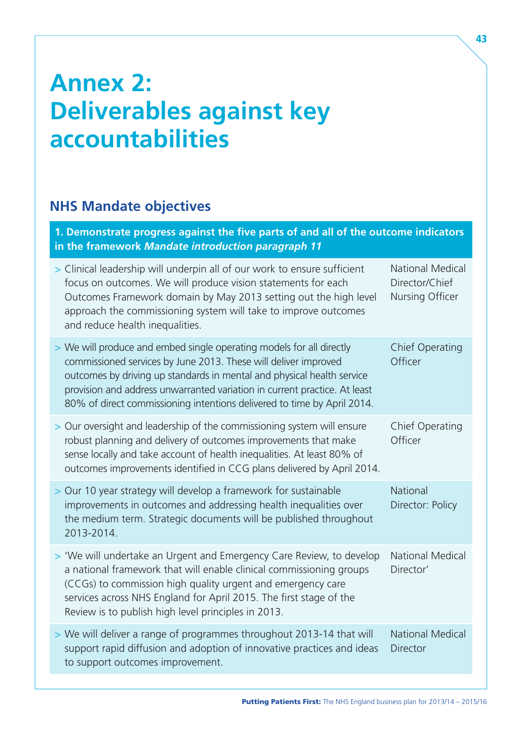## <span id="page-48-0"></span>**Annex 2: Deliverables against key accountabilities**

## **NHS Mandate objectives**

**1. Demonstrate progress against the five parts of and all of the outcome indicators in the framework** *Mandate introduction paragraph 11*  > Clinical leadership will underpin all of our work to ensure sufficient National Medical focus on outcomes. We will produce vision statements for each Director/Chief Outcomes Framework domain by May 2013 setting out the high level Nursing Officer approach the commissioning system will take to improve outcomes and reduce health inequalities. > We will produce and embed single operating models for all directly Chief Operating commissioned services by June 2013. These will deliver improved Officer outcomes by driving up standards in mental and physical health service provision and address unwarranted variation in current practice. At least 80% of direct commissioning intentions delivered to time by April 2014. > Our oversight and leadership of the commissioning system will ensure Chief Operating robust planning and delivery of outcomes improvements that make Officer sense locally and take account of health inequalities. At least 80% of outcomes improvements identified in CCG plans delivered by April 2014. > Our 10 year strategy will develop a framework for sustainable National improvements in outcomes and addressing health inequalities over Director: Policy the medium term. Strategic documents will be published throughout 2013-2014. > 'We will undertake an Urgent and Emergency Care Review, to develop National Medical a national framework that will enable clinical commissioning groups Director' (CCGs) to commission high quality urgent and emergency care services across NHS England for April 2015. The first stage of the Review is to publish high level principles in 2013. > We will deliver a range of programmes throughout 2013-14 that will National Medical support rapid diffusion and adoption of innovative practices and ideas Director to support outcomes improvement.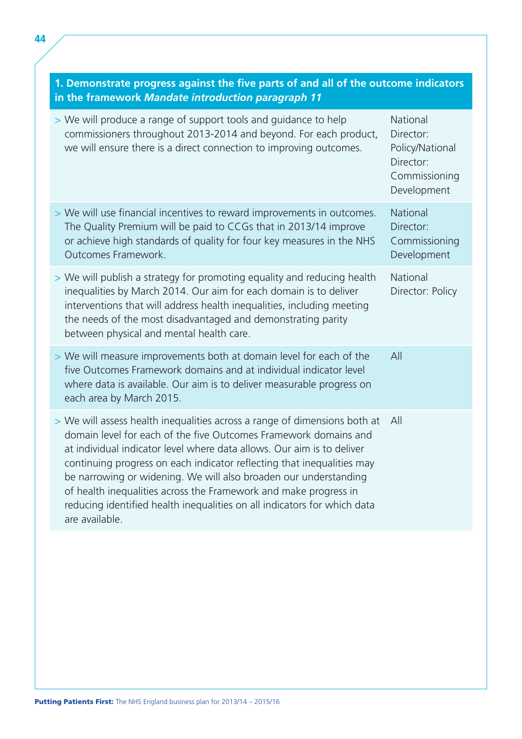| 1. Demonstrate progress against the five parts of and all of the outcome indicators<br>in the framework Mandate introduction paragraph 11                                                                                                                                                                                                                                                                                                                                                                                               |                                                                                       |  |
|-----------------------------------------------------------------------------------------------------------------------------------------------------------------------------------------------------------------------------------------------------------------------------------------------------------------------------------------------------------------------------------------------------------------------------------------------------------------------------------------------------------------------------------------|---------------------------------------------------------------------------------------|--|
| > We will produce a range of support tools and guidance to help<br>commissioners throughout 2013-2014 and beyond. For each product,<br>we will ensure there is a direct connection to improving outcomes.                                                                                                                                                                                                                                                                                                                               | National<br>Director:<br>Policy/National<br>Director:<br>Commissioning<br>Development |  |
| > We will use financial incentives to reward improvements in outcomes.<br>The Quality Premium will be paid to CCGs that in 2013/14 improve<br>or achieve high standards of quality for four key measures in the NHS<br>Outcomes Framework.                                                                                                                                                                                                                                                                                              | National<br>Director:<br>Commissioning<br>Development                                 |  |
| > We will publish a strategy for promoting equality and reducing health<br>inequalities by March 2014. Our aim for each domain is to deliver<br>interventions that will address health inequalities, including meeting<br>the needs of the most disadvantaged and demonstrating parity<br>between physical and mental health care.                                                                                                                                                                                                      | National<br>Director: Policy                                                          |  |
| > We will measure improvements both at domain level for each of the<br>five Outcomes Framework domains and at individual indicator level<br>where data is available. Our aim is to deliver measurable progress on<br>each area by March 2015.                                                                                                                                                                                                                                                                                           | All                                                                                   |  |
| > We will assess health inequalities across a range of dimensions both at<br>domain level for each of the five Outcomes Framework domains and<br>at individual indicator level where data allows. Our aim is to deliver<br>continuing progress on each indicator reflecting that inequalities may<br>be narrowing or widening. We will also broaden our understanding<br>of health inequalities across the Framework and make progress in<br>reducing identified health inequalities on all indicators for which data<br>are available. | All                                                                                   |  |
|                                                                                                                                                                                                                                                                                                                                                                                                                                                                                                                                         |                                                                                       |  |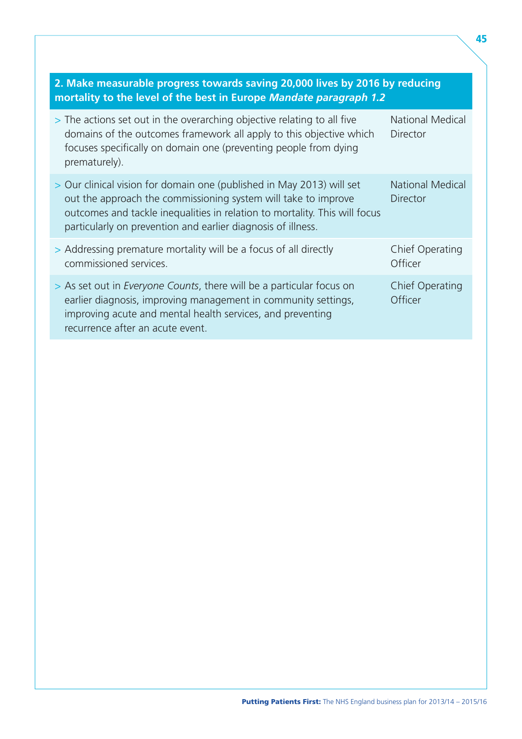| 2. Make measurable progress towards saving 20,000 lives by 2016 by reducing<br>mortality to the level of the best in Europe Mandate paragraph 1.2                                                                                                                                     |                                            |
|---------------------------------------------------------------------------------------------------------------------------------------------------------------------------------------------------------------------------------------------------------------------------------------|--------------------------------------------|
| > The actions set out in the overarching objective relating to all five<br>domains of the outcomes framework all apply to this objective which<br>focuses specifically on domain one (preventing people from dying<br>prematurely).                                                   | <b>National Medical</b><br><b>Director</b> |
| > Our clinical vision for domain one (published in May 2013) will set<br>out the approach the commissioning system will take to improve<br>outcomes and tackle inequalities in relation to mortality. This will focus<br>particularly on prevention and earlier diagnosis of illness. | <b>National Medical</b><br><b>Director</b> |
| > Addressing premature mortality will be a focus of all directly<br>commissioned services.                                                                                                                                                                                            | Chief Operating<br>Officer                 |
| > As set out in <i>Everyone Counts</i> , there will be a particular focus on<br>earlier diagnosis, improving management in community settings,<br>improving acute and mental health services, and preventing<br>recurrence after an acute event.                                      | Chief Operating<br>Officer                 |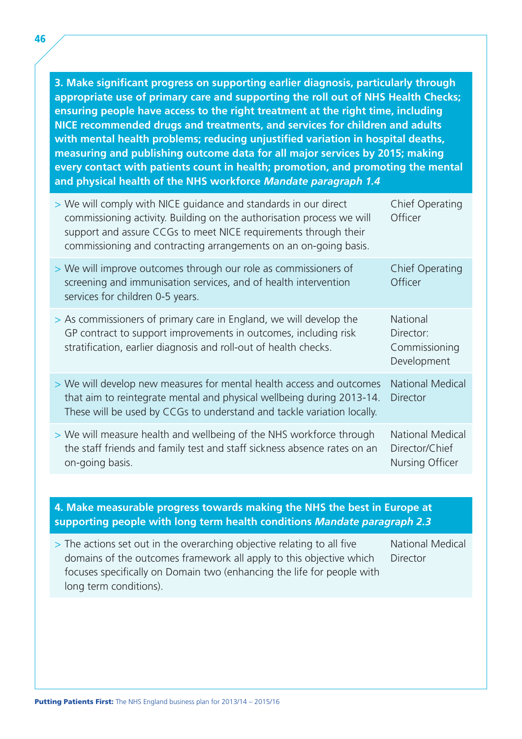**3. Make significant progress on supporting earlier diagnosis, particularly through appropriate use of primary care and supporting the roll out of NHS Health Checks; ensuring people have access to the right treatment at the right time, including NICE recommended drugs and treatments, and services for children and adults with mental health problems; reducing unjustified variation in hospital deaths, measuring and publishing outcome data for all major services by 2015; making every contact with patients count in health; promotion, and promoting the mental and physical health of the NHS workforce** *Mandate paragraph 1.4* 

| > We will comply with NICE guidance and standards in our direct<br>commissioning activity. Building on the authorisation process we will<br>support and assure CCGs to meet NICE requirements through their<br>commissioning and contracting arrangements on an on-going basis. | Chief Operating<br>Officer                                   |
|---------------------------------------------------------------------------------------------------------------------------------------------------------------------------------------------------------------------------------------------------------------------------------|--------------------------------------------------------------|
| > We will improve outcomes through our role as commissioners of<br>screening and immunisation services, and of health intervention<br>services for children 0-5 years.                                                                                                          | <b>Chief Operating</b><br>Officer                            |
| > As commissioners of primary care in England, we will develop the<br>GP contract to support improvements in outcomes, including risk<br>stratification, earlier diagnosis and roll-out of health checks.                                                                       | <b>National</b><br>Director:<br>Commissioning<br>Development |
| > We will develop new measures for mental health access and outcomes<br>that aim to reintegrate mental and physical wellbeing during 2013-14.<br>These will be used by CCGs to understand and tackle variation locally.                                                         | <b>National Medical</b><br><b>Director</b>                   |
| > We will measure health and wellbeing of the NHS workforce through<br>the staff friends and family test and staff sickness absence rates on an<br>on-going basis.                                                                                                              | <b>National Medical</b><br>Director/Chief<br>Nursing Officer |
|                                                                                                                                                                                                                                                                                 |                                                              |

**4. Make measurable progress towards making the NHS the best in Europe at supporting people with long term health conditions** *Mandate paragraph 2.3* 

 $>$  The actions set out in the overarching objective relating to all five  $\blacksquare$  National Medical domains of the outcomes framework all apply to this objective which Director focuses specifically on Domain two (enhancing the life for people with long term conditions).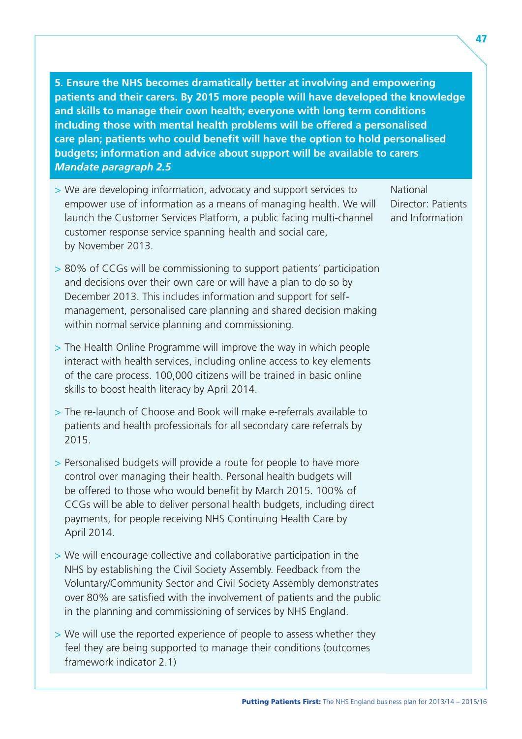**5. Ensure the NHS becomes dramatically better at involving and empowering patients and their carers. By 2015 more people will have developed the knowledge and skills to manage their own health; everyone with long term conditions including those with mental health problems will be offered a personalised care plan; patients who could benefit will have the option to hold personalised budgets; information and advice about support will be available to carers**  *Mandate paragraph 2.5* 

> We are developing information, advocacy and support services to National empower use of information as a means of managing health. We will Director: Patients launch the Customer Services Platform, a public facing multi-channel and Information customer response service spanning health and social care, by November 2013.

- > 80% of CCGs will be commissioning to support patients' participation and decisions over their own care or will have a plan to do so by December 2013. This includes information and support for selfmanagement, personalised care planning and shared decision making within normal service planning and commissioning.
- > The Health Online Programme will improve the way in which people interact with health services, including online access to key elements of the care process. 100,000 citizens will be trained in basic online skills to boost health literacy by April 2014.
- > The re-launch of Choose and Book will make e-referrals available to patients and health professionals for all secondary care referrals by 2015.
- > Personalised budgets will provide a route for people to have more control over managing their health. Personal health budgets will be offered to those who would benefit by March 2015. 100% of CCGs will be able to deliver personal health budgets, including direct payments, for people receiving NHS Continuing Health Care by April 2014.
- > We will encourage collective and collaborative participation in the NHS by establishing the Civil Society Assembly. Feedback from the Voluntary/Community Sector and Civil Society Assembly demonstrates over 80% are satisfied with the involvement of patients and the public in the planning and commissioning of services by NHS England.
- > We will use the reported experience of people to assess whether they feel they are being supported to manage their conditions (outcomes framework indicator 2.1)

47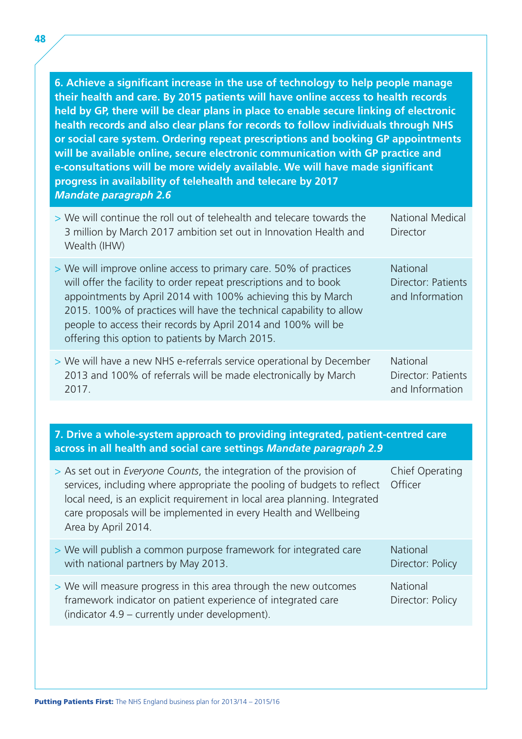**6. Achieve a significant increase in the use of technology to help people manage their health and care. By 2015 patients will have online access to health records held by GP, there will be clear plans in place to enable secure linking of electronic health records and also clear plans for records to follow individuals through NHS or social care system. Ordering repeat prescriptions and booking GP appointments will be available online, secure electronic communication with GP practice and e-consultations will be more widely available. We will have made significant progress in availability of telehealth and telecare by 2017**  *Mandate paragraph 2.6* 

| > We will continue the roll out of telehealth and telecare towards the<br>3 million by March 2017 ambition set out in Innovation Health and<br>Wealth (IHW)                                                                                                                                                                                                                                       | <b>National Medical</b><br>Director                      |  |
|---------------------------------------------------------------------------------------------------------------------------------------------------------------------------------------------------------------------------------------------------------------------------------------------------------------------------------------------------------------------------------------------------|----------------------------------------------------------|--|
| > We will improve online access to primary care. 50% of practices<br>will offer the facility to order repeat prescriptions and to book<br>appointments by April 2014 with 100% achieving this by March<br>2015. 100% of practices will have the technical capability to allow<br>people to access their records by April 2014 and 100% will be<br>offering this option to patients by March 2015. | <b>National</b><br>Director: Patients<br>and Information |  |
| > We will have a new NHS e-referrals service operational by December<br>2013 and 100% of referrals will be made electronically by March<br>2017.                                                                                                                                                                                                                                                  | <b>National</b><br>Director: Patients<br>and Information |  |
|                                                                                                                                                                                                                                                                                                                                                                                                   |                                                          |  |
| 7. Drive a whole-system approach to providing integrated, patient-centred care<br>across in all health and social care settings Mandate paragraph 2.9                                                                                                                                                                                                                                             |                                                          |  |
| > As set out in Everyone Counts, the integration of the provision of<br>services, including where appropriate the pooling of budgets to reflect                                                                                                                                                                                                                                                   | Chief Operating<br>Officer                               |  |

| services, including where appropriate the pooling of budgets to reflect Officer<br>local need, is an explicit requirement in local area planning. Integrated<br>care proposals will be implemented in every Health and Wellbeing<br>Area by April 2014. |                                     |
|---------------------------------------------------------------------------------------------------------------------------------------------------------------------------------------------------------------------------------------------------------|-------------------------------------|
| > We will publish a common purpose framework for integrated care<br>with national partners by May 2013.                                                                                                                                                 | <b>National</b><br>Director: Policy |
| > We will measure progress in this area through the new outcomes<br>framework indicator on patient experience of integrated care<br>(indicator 4.9 – currently under development).                                                                      | <b>National</b><br>Director: Policy |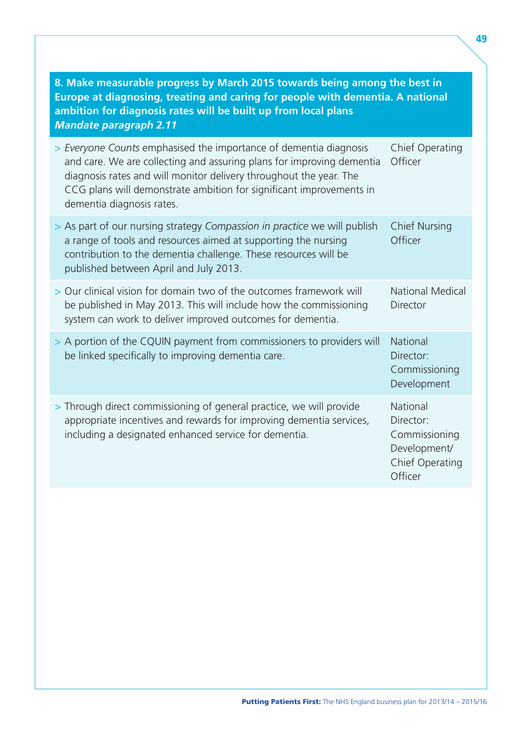| 8. Make measurable progress by March 2015 towards being among the best in<br>Europe at diagnosing, treating and caring for people with dementia. A national<br>ambition for diagnosis rates will be built up from local plans<br><b>Mandate paragraph 2.11</b>                                                       |                                                                                      |
|----------------------------------------------------------------------------------------------------------------------------------------------------------------------------------------------------------------------------------------------------------------------------------------------------------------------|--------------------------------------------------------------------------------------|
| > Everyone Counts emphasised the importance of dementia diagnosis<br>and care. We are collecting and assuring plans for improving dementia<br>diagnosis rates and will monitor delivery throughout the year. The<br>CCG plans will demonstrate ambition for significant improvements in<br>dementia diagnosis rates. | Chief Operating<br>Officer                                                           |
| > As part of our nursing strategy Compassion in practice we will publish<br>a range of tools and resources aimed at supporting the nursing<br>contribution to the dementia challenge. These resources will be<br>published between April and July 2013.                                                              | <b>Chief Nursing</b><br>Officer                                                      |
| > Our clinical vision for domain two of the outcomes framework will<br>be published in May 2013. This will include how the commissioning<br>system can work to deliver improved outcomes for dementia.                                                                                                               | <b>National Medical</b><br>Director                                                  |
| > A portion of the CQUIN payment from commissioners to providers will<br>be linked specifically to improving dementia care.                                                                                                                                                                                          | <b>National</b><br>Director:<br>Commissioning<br>Development                         |
| > Through direct commissioning of general practice, we will provide<br>appropriate incentives and rewards for improving dementia services,<br>including a designated enhanced service for dementia.                                                                                                                  | National<br>Director:<br>Commissioning<br>Development/<br>Chief Operating<br>Officer |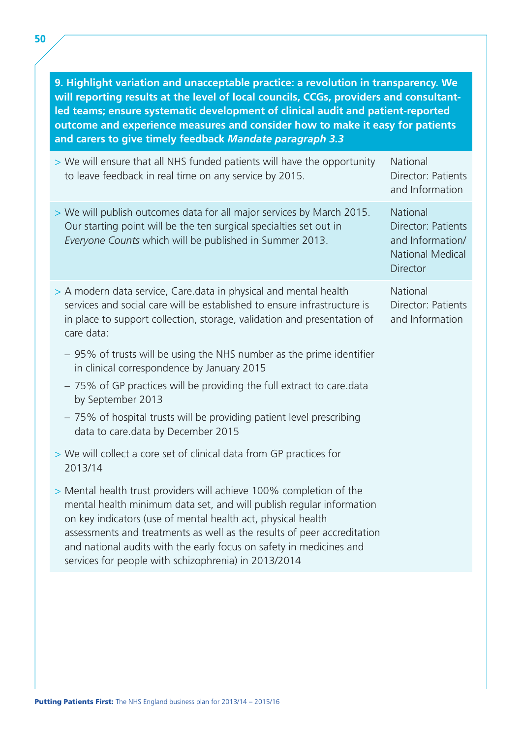**9. Highlight variation and unacceptable practice: a revolution in transparency. We will reporting results at the level of local councils, CCGs, providers and consultantled teams; ensure systematic development of clinical audit and patient-reported outcome and experience measures and consider how to make it easy for patients and carers to give timely feedback** *Mandate paragraph 3.3* 

| > We will ensure that all NHS funded patients will have the opportunity<br>to leave feedback in real time on any service by 2015.                                                                                                                                                                                                                                                                                                                                                                                                                                                                                                                                                                                                                                                                                                         | National<br>Director: Patients<br>and Information                                         |
|-------------------------------------------------------------------------------------------------------------------------------------------------------------------------------------------------------------------------------------------------------------------------------------------------------------------------------------------------------------------------------------------------------------------------------------------------------------------------------------------------------------------------------------------------------------------------------------------------------------------------------------------------------------------------------------------------------------------------------------------------------------------------------------------------------------------------------------------|-------------------------------------------------------------------------------------------|
| > We will publish outcomes data for all major services by March 2015.<br>Our starting point will be the ten surgical specialties set out in<br>Everyone Counts which will be published in Summer 2013.                                                                                                                                                                                                                                                                                                                                                                                                                                                                                                                                                                                                                                    | National<br>Director: Patients<br>and Information/<br><b>National Medical</b><br>Director |
| > A modern data service, Care data in physical and mental health<br>services and social care will be established to ensure infrastructure is<br>in place to support collection, storage, validation and presentation of<br>care data:                                                                                                                                                                                                                                                                                                                                                                                                                                                                                                                                                                                                     | National<br>Director: Patients<br>and Information                                         |
| - 95% of trusts will be using the NHS number as the prime identifier<br>in clinical correspondence by January 2015<br>- 75% of GP practices will be providing the full extract to care.data<br>by September 2013<br>- 75% of hospital trusts will be providing patient level prescribing<br>data to care.data by December 2015<br>> We will collect a core set of clinical data from GP practices for<br>2013/14<br>> Mental health trust providers will achieve 100% completion of the<br>mental health minimum data set, and will publish regular information<br>on key indicators (use of mental health act, physical health<br>assessments and treatments as well as the results of peer accreditation<br>and national audits with the early focus on safety in medicines and<br>services for people with schizophrenia) in 2013/2014 |                                                                                           |
|                                                                                                                                                                                                                                                                                                                                                                                                                                                                                                                                                                                                                                                                                                                                                                                                                                           |                                                                                           |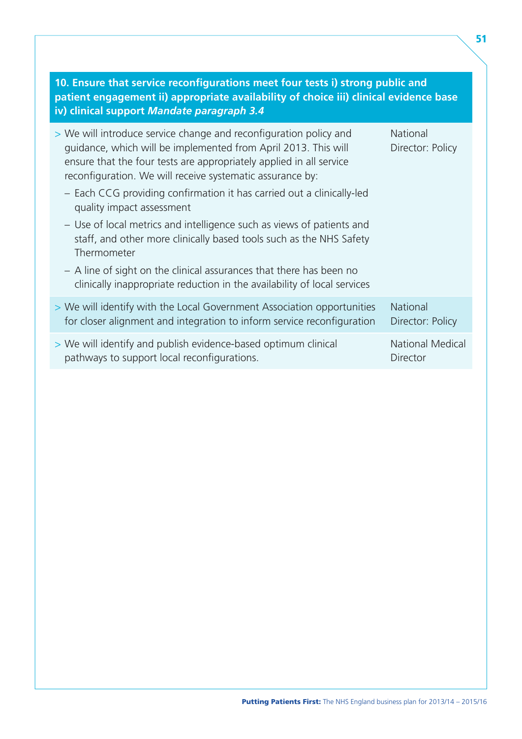| 10. Ensure that service reconfigurations meet four tests i) strong public and<br>patient engagement ii) appropriate availability of choice iii) clinical evidence base<br>iv) clinical support Mandate paragraph 3.4                                                    |                                     |
|-------------------------------------------------------------------------------------------------------------------------------------------------------------------------------------------------------------------------------------------------------------------------|-------------------------------------|
| > We will introduce service change and reconfiguration policy and<br>quidance, which will be implemented from April 2013. This will<br>ensure that the four tests are appropriately applied in all service<br>reconfiguration. We will receive systematic assurance by: | National<br>Director: Policy        |
| - Each CCG providing confirmation it has carried out a clinically-led<br>quality impact assessment                                                                                                                                                                      |                                     |
| - Use of local metrics and intelligence such as views of patients and<br>staff, and other more clinically based tools such as the NHS Safety<br>Thermometer                                                                                                             |                                     |
| - A line of sight on the clinical assurances that there has been no<br>clinically inappropriate reduction in the availability of local services                                                                                                                         |                                     |
| > We will identify with the Local Government Association opportunities<br>for closer alignment and integration to inform service reconfiguration                                                                                                                        | <b>National</b><br>Director: Policy |
| > We will identify and publish evidence-based optimum clinical<br>pathways to support local reconfigurations.                                                                                                                                                           | <b>National Medical</b><br>Director |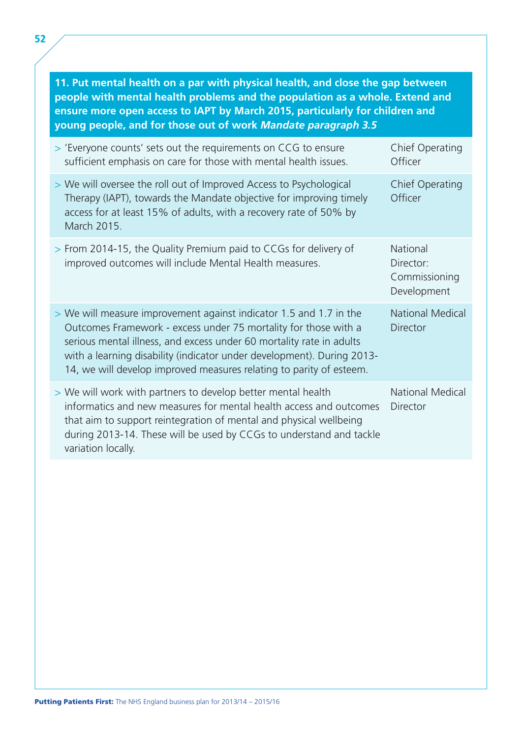**11. Put mental health on a par with physical health, and close the gap between people with mental health problems and the population as a whole. Extend and ensure more open access to IAPT by March 2015, particularly for children and young people, and for those out of work** *Mandate paragraph 3.5* 

| > 'Everyone counts' sets out the requirements on CCG to ensure<br>sufficient emphasis on care for those with mental health issues.                                                                                                                                                                                                                             | Chief Operating<br>Officer                            |
|----------------------------------------------------------------------------------------------------------------------------------------------------------------------------------------------------------------------------------------------------------------------------------------------------------------------------------------------------------------|-------------------------------------------------------|
| > We will oversee the roll out of Improved Access to Psychological<br>Therapy (IAPT), towards the Mandate objective for improving timely<br>access for at least 15% of adults, with a recovery rate of 50% by<br>March 2015.                                                                                                                                   | <b>Chief Operating</b><br>Officer                     |
| > From 2014-15, the Quality Premium paid to CCGs for delivery of<br>improved outcomes will include Mental Health measures.                                                                                                                                                                                                                                     | National<br>Director:<br>Commissioning<br>Development |
| > We will measure improvement against indicator 1.5 and 1.7 in the<br>Outcomes Framework - excess under 75 mortality for those with a<br>serious mental illness, and excess under 60 mortality rate in adults<br>with a learning disability (indicator under development). During 2013-<br>14, we will develop improved measures relating to parity of esteem. | <b>National Medical</b><br><b>Director</b>            |
| > We will work with partners to develop better mental health<br>informatics and new measures for mental health access and outcomes<br>that aim to support reintegration of mental and physical wellbeing<br>during 2013-14. These will be used by CCGs to understand and tackle<br>variation locally.                                                          | <b>National Medical</b><br><b>Director</b>            |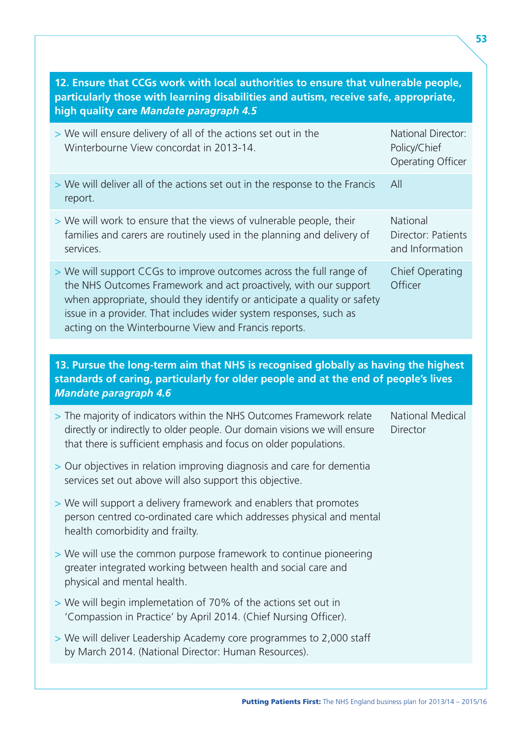| 12. Ensure that CCGs work with local authorities to ensure that vulnerable people,<br>particularly those with learning disabilities and autism, receive safe, appropriate,<br>high quality care Mandate paragraph 4.5                                                                                                                             |                                                                |  |
|---------------------------------------------------------------------------------------------------------------------------------------------------------------------------------------------------------------------------------------------------------------------------------------------------------------------------------------------------|----------------------------------------------------------------|--|
| > We will ensure delivery of all of the actions set out in the<br>Winterbourne View concordat in 2013-14.                                                                                                                                                                                                                                         | National Director:<br>Policy/Chief<br><b>Operating Officer</b> |  |
| > We will deliver all of the actions set out in the response to the Francis<br>report.                                                                                                                                                                                                                                                            | All                                                            |  |
| > We will work to ensure that the views of vulnerable people, their<br>families and carers are routinely used in the planning and delivery of<br>services.                                                                                                                                                                                        | National<br>Director: Patients<br>and Information              |  |
| > We will support CCGs to improve outcomes across the full range of<br>the NHS Outcomes Framework and act proactively, with our support<br>when appropriate, should they identify or anticipate a quality or safety<br>issue in a provider. That includes wider system responses, such as<br>acting on the Winterbourne View and Francis reports. | <b>Chief Operating</b><br>Officer                              |  |
|                                                                                                                                                                                                                                                                                                                                                   |                                                                |  |
| 13. Pursue the long-term aim that NHS is recognised globally as having the highest<br>standards of caring, particularly for older people and at the end of people's lives<br><b>Mandate paragraph 4.6</b>                                                                                                                                         |                                                                |  |
|                                                                                                                                                                                                                                                                                                                                                   |                                                                |  |
| > The majority of indicators within the NHS Outcomes Framework relate<br>directly or indirectly to older people. Our domain visions we will ensure<br>that there is sufficient emphasis and focus on older populations.                                                                                                                           | <b>National Medical</b><br>Director                            |  |
| > Our objectives in relation improving diagnosis and care for dementia<br>services set out above will also support this objective.                                                                                                                                                                                                                |                                                                |  |
| > We will support a delivery framework and enablers that promotes<br>person centred co-ordinated care which addresses physical and mental<br>health comorbidity and frailty.                                                                                                                                                                      |                                                                |  |
| > We will use the common purpose framework to continue pioneering<br>greater integrated working between health and social care and<br>physical and mental health.                                                                                                                                                                                 |                                                                |  |
| > We will begin implemetation of 70% of the actions set out in<br>'Compassion in Practice' by April 2014. (Chief Nursing Officer).                                                                                                                                                                                                                |                                                                |  |
| > We will deliver Leadership Academy core programmes to 2,000 staff<br>by March 2014. (National Director: Human Resources).                                                                                                                                                                                                                       |                                                                |  |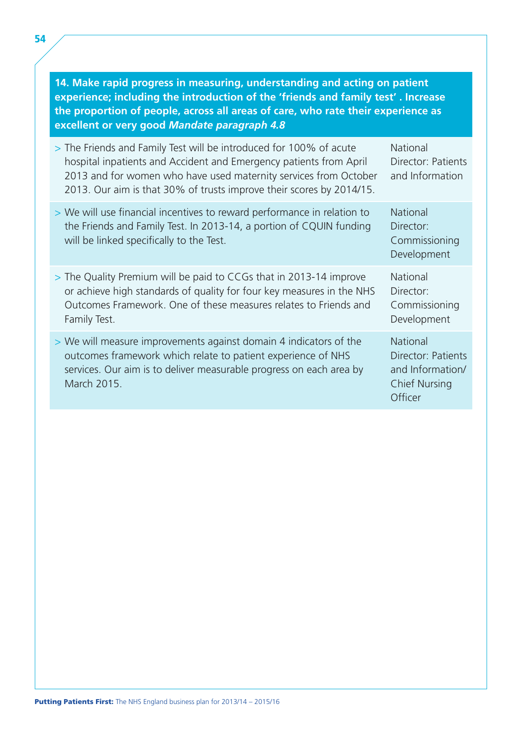| 14. Make rapid progress in measuring, understanding and acting on patient<br>experience; including the introduction of the 'friends and family test'. Increase<br>the proportion of people, across all areas of care, who rate their experience as<br>excellent or very good Mandate paragraph 4.8 |                                                                                       |
|----------------------------------------------------------------------------------------------------------------------------------------------------------------------------------------------------------------------------------------------------------------------------------------------------|---------------------------------------------------------------------------------------|
| > The Friends and Family Test will be introduced for 100% of acute<br>hospital inpatients and Accident and Emergency patients from April<br>2013 and for women who have used maternity services from October<br>2013. Our aim is that 30% of trusts improve their scores by 2014/15.               | National<br>Director: Patients<br>and Information                                     |
| > We will use financial incentives to reward performance in relation to<br>the Friends and Family Test. In 2013-14, a portion of CQUIN funding<br>will be linked specifically to the Test.                                                                                                         | National<br>Director:<br>Commissioning<br>Development                                 |
| > The Quality Premium will be paid to CCGs that in 2013-14 improve<br>or achieve high standards of quality for four key measures in the NHS<br>Outcomes Framework. One of these measures relates to Friends and<br>Family Test.                                                                    | National<br>Director:<br>Commissioning<br>Development                                 |
| > We will measure improvements against domain 4 indicators of the<br>outcomes framework which relate to patient experience of NHS<br>services. Our aim is to deliver measurable progress on each area by<br>March 2015.                                                                            | National<br>Director: Patients<br>and Information/<br><b>Chief Nursing</b><br>Officer |

54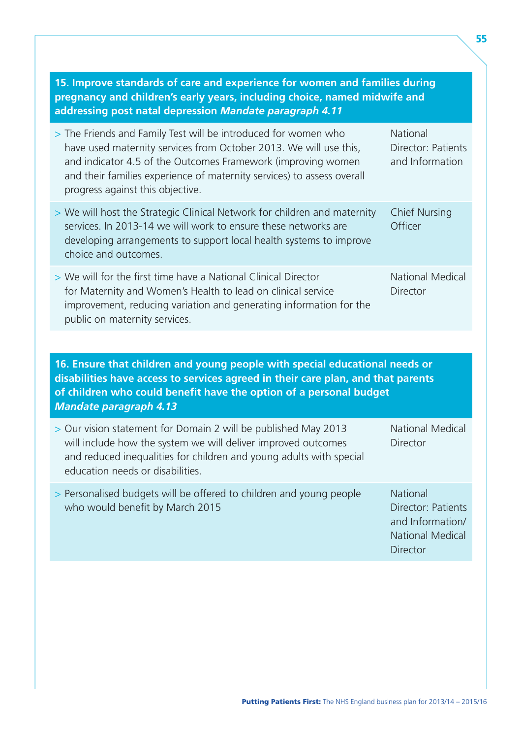| 15. Improve standards of care and experience for women and families during<br>pregnancy and children's early years, including choice, named midwife and<br>addressing post natal depression Mandate paragraph 4.11                                                                                                |                                                                                                  |  |
|-------------------------------------------------------------------------------------------------------------------------------------------------------------------------------------------------------------------------------------------------------------------------------------------------------------------|--------------------------------------------------------------------------------------------------|--|
| > The Friends and Family Test will be introduced for women who<br>have used maternity services from October 2013. We will use this,<br>and indicator 4.5 of the Outcomes Framework (improving women<br>and their families experience of maternity services) to assess overall<br>progress against this objective. | National<br>Director: Patients<br>and Information                                                |  |
| > We will host the Strategic Clinical Network for children and maternity<br>services. In 2013-14 we will work to ensure these networks are<br>developing arrangements to support local health systems to improve<br>choice and outcomes.                                                                          | <b>Chief Nursing</b><br>Officer                                                                  |  |
| > We will for the first time have a National Clinical Director<br>for Maternity and Women's Health to lead on clinical service<br>improvement, reducing variation and generating information for the<br>public on maternity services.                                                                             | <b>National Medical</b><br>Director                                                              |  |
|                                                                                                                                                                                                                                                                                                                   |                                                                                                  |  |
| 16. Ensure that children and young people with special educational needs or<br>disabilities have access to services agreed in their care plan, and that parents<br>of children who could benefit have the option of a personal budget<br><b>Mandate paragraph 4.13</b>                                            |                                                                                                  |  |
| > Our vision statement for Domain 2 will be published May 2013<br>will include how the system we will deliver improved outcomes<br>and reduced inequalities for children and young adults with special<br>education needs or disabilities.                                                                        | <b>National Medical</b><br>Director                                                              |  |
| > Personalised budgets will be offered to children and young people<br>who would benefit by March 2015                                                                                                                                                                                                            | National<br>Director: Patients<br>and Information/<br><b>National Medical</b><br><b>Director</b> |  |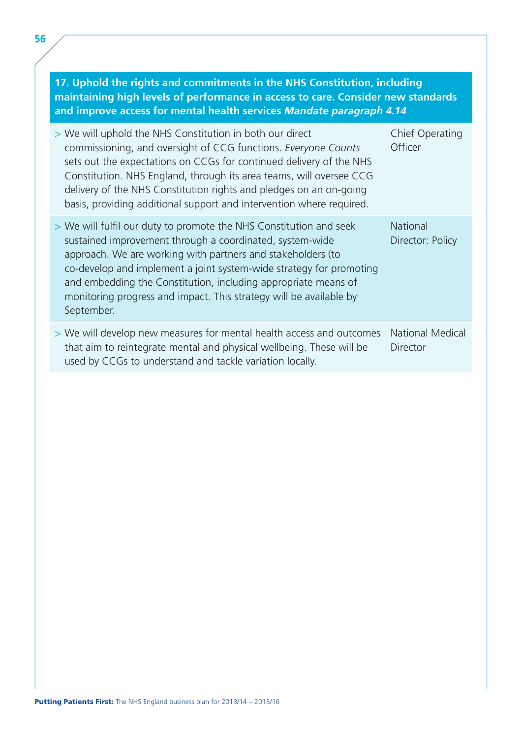#### **17. Uphold the rights and commitments in the NHS Constitution, including maintaining high levels of performance in access to care. Consider new standards and improve access for mental health services** *Mandate paragraph 4.14*

| > We will uphold the NHS Constitution in both our direct<br>commissioning, and oversight of CCG functions. Everyone Counts<br>sets out the expectations on CCGs for continued delivery of the NHS<br>Constitution. NHS England, through its area teams, will oversee CCG<br>delivery of the NHS Constitution rights and pledges on an on-going<br>basis, providing additional support and intervention where required.     | Chief Operating<br>Officer                 |
|----------------------------------------------------------------------------------------------------------------------------------------------------------------------------------------------------------------------------------------------------------------------------------------------------------------------------------------------------------------------------------------------------------------------------|--------------------------------------------|
| > We will fulfil our duty to promote the NHS Constitution and seek<br>sustained improvement through a coordinated, system-wide<br>approach. We are working with partners and stakeholders (to<br>co-develop and implement a joint system-wide strategy for promoting<br>and embedding the Constitution, including appropriate means of<br>monitoring progress and impact. This strategy will be available by<br>September. | <b>National</b><br>Director: Policy        |
| > We will develop new measures for mental health access and outcomes<br>that aim to reintegrate mental and physical wellbeing. These will be<br>used by CCGs to understand and tackle variation locally.                                                                                                                                                                                                                   | <b>National Medical</b><br><b>Director</b> |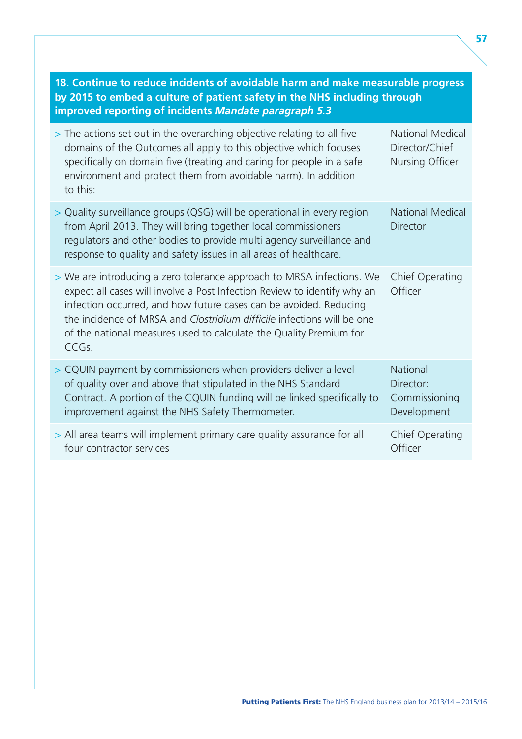| 18. Continue to reduce incidents of avoidable harm and make measurable progress<br>by 2015 to embed a culture of patient safety in the NHS including through<br>improved reporting of incidents Mandate paragraph 5.3                                                                                                                                                           |                                                              |  |
|---------------------------------------------------------------------------------------------------------------------------------------------------------------------------------------------------------------------------------------------------------------------------------------------------------------------------------------------------------------------------------|--------------------------------------------------------------|--|
| > The actions set out in the overarching objective relating to all five<br>domains of the Outcomes all apply to this objective which focuses<br>specifically on domain five (treating and caring for people in a safe<br>environment and protect them from avoidable harm). In addition<br>to this:                                                                             | <b>National Medical</b><br>Director/Chief<br>Nursing Officer |  |
| > Quality surveillance groups (QSG) will be operational in every region<br>from April 2013. They will bring together local commissioners<br>regulators and other bodies to provide multi agency surveillance and<br>response to quality and safety issues in all areas of healthcare.                                                                                           | <b>National Medical</b><br><b>Director</b>                   |  |
| > We are introducing a zero tolerance approach to MRSA infections. We<br>expect all cases will involve a Post Infection Review to identify why an<br>infection occurred, and how future cases can be avoided. Reducing<br>the incidence of MRSA and Clostridium difficile infections will be one<br>of the national measures used to calculate the Quality Premium for<br>CCGs. | <b>Chief Operating</b><br>Officer                            |  |
| > CQUIN payment by commissioners when providers deliver a level<br>of quality over and above that stipulated in the NHS Standard<br>Contract. A portion of the CQUIN funding will be linked specifically to<br>improvement against the NHS Safety Thermometer.                                                                                                                  | <b>National</b><br>Director:<br>Commissioning<br>Development |  |
| > All area teams will implement primary care quality assurance for all<br>four contractor services                                                                                                                                                                                                                                                                              | Chief Operating<br>Officer                                   |  |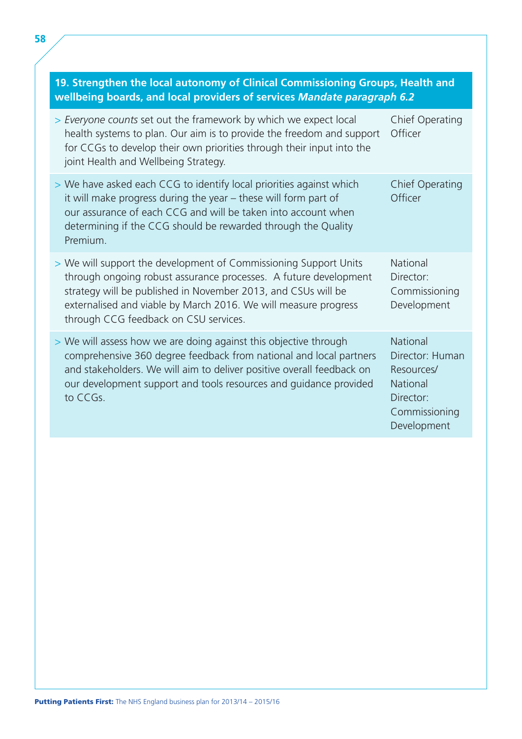| 19. Strengthen the local autonomy of Clinical Commissioning Groups, Health and<br>wellbeing boards, and local providers of services Mandate paragraph 6.2                                                                                                                                                         |                                                                                                    |  |
|-------------------------------------------------------------------------------------------------------------------------------------------------------------------------------------------------------------------------------------------------------------------------------------------------------------------|----------------------------------------------------------------------------------------------------|--|
| > Everyone counts set out the framework by which we expect local<br>health systems to plan. Our aim is to provide the freedom and support<br>for CCGs to develop their own priorities through their input into the<br>joint Health and Wellbeing Strategy.                                                        | Chief Operating<br>Officer                                                                         |  |
| > We have asked each CCG to identify local priorities against which<br>it will make progress during the year - these will form part of<br>our assurance of each CCG and will be taken into account when<br>determining if the CCG should be rewarded through the Quality<br>Premium.                              | <b>Chief Operating</b><br>Officer                                                                  |  |
| > We will support the development of Commissioning Support Units<br>through ongoing robust assurance processes. A future development<br>strategy will be published in November 2013, and CSUs will be<br>externalised and viable by March 2016. We will measure progress<br>through CCG feedback on CSU services. | <b>National</b><br>Director:<br>Commissioning<br>Development                                       |  |
| > We will assess how we are doing against this objective through<br>comprehensive 360 degree feedback from national and local partners<br>and stakeholders. We will aim to deliver positive overall feedback on<br>our development support and tools resources and guidance provided<br>to CCGs.                  | National<br>Director: Human<br>Resources/<br>National<br>Director:<br>Commissioning<br>Development |  |

## **19. Strengthen the local autonomy of Clinical Commissioning Groups, Health and**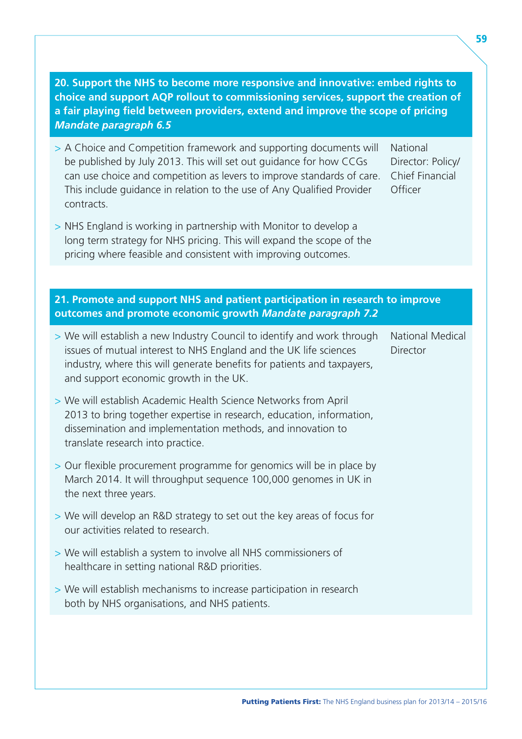| 20. Support the NHS to become more responsive and innovative: embed rights to<br>choice and support AQP rollout to commissioning services, support the creation of<br>a fair playing field between providers, extend and improve the scope of pricing<br><b>Mandate paragraph 6.5</b>                      |                                                             |
|------------------------------------------------------------------------------------------------------------------------------------------------------------------------------------------------------------------------------------------------------------------------------------------------------------|-------------------------------------------------------------|
| > A Choice and Competition framework and supporting documents will<br>be published by July 2013. This will set out guidance for how CCGs<br>can use choice and competition as levers to improve standards of care.<br>This include guidance in relation to the use of Any Qualified Provider<br>contracts. | National<br>Director: Policy/<br>Chief Financial<br>Officer |
| > NHS England is working in partnership with Monitor to develop a<br>long term strategy for NHS pricing. This will expand the scope of the<br>pricing where feasible and consistent with improving outcomes.                                                                                               |                                                             |
|                                                                                                                                                                                                                                                                                                            |                                                             |
| 21. Promote and support NHS and patient participation in research to improve                                                                                                                                                                                                                               |                                                             |
| outcomes and promote economic growth Mandate paragraph 7.2                                                                                                                                                                                                                                                 |                                                             |
| > We will establish a new Industry Council to identify and work through<br>issues of mutual interest to NHS England and the UK life sciences<br>industry, where this will generate benefits for patients and taxpayers,<br>and support economic growth in the UK.                                          | <b>National Medical</b><br>Director                         |
| > We will establish Academic Health Science Networks from April<br>2013 to bring together expertise in research, education, information,<br>dissemination and implementation methods, and innovation to<br>translate research into practice.                                                               |                                                             |
| > Our flexible procurement programme for genomics will be in place by<br>March 2014. It will throughput sequence 100,000 genomes in UK in<br>the next three years.                                                                                                                                         |                                                             |
| > We will develop an R&D strategy to set out the key areas of focus for<br>our activities related to research.                                                                                                                                                                                             |                                                             |
| > We will establish a system to involve all NHS commissioners of<br>healthcare in setting national R&D priorities.                                                                                                                                                                                         |                                                             |
| > We will establish mechanisms to increase participation in research<br>both by NHS organisations, and NHS patients.                                                                                                                                                                                       |                                                             |
|                                                                                                                                                                                                                                                                                                            |                                                             |
|                                                                                                                                                                                                                                                                                                            |                                                             |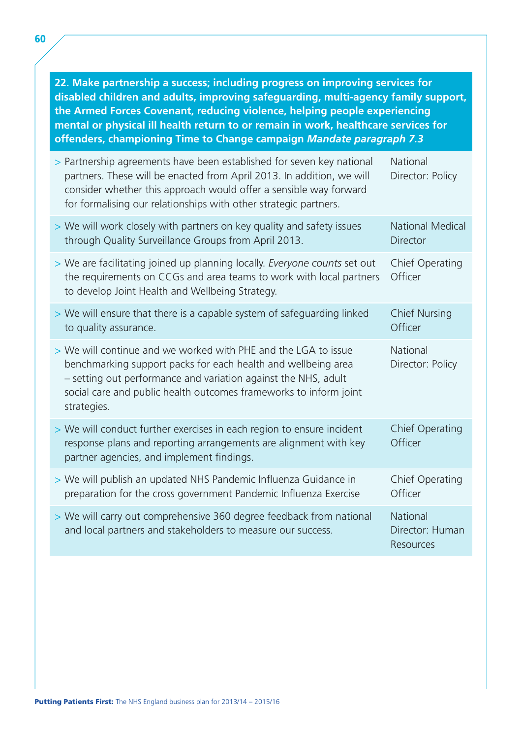**22. Make partnership a success; including progress on improving services for disabled children and adults, improving safeguarding, multi-agency family support, the Armed Forces Covenant, reducing violence, helping people experiencing mental or physical ill health return to or remain in work, healthcare services for offenders, championing Time to Change campaign** *Mandate paragraph 7.3* 

| > Partnership agreements have been established for seven key national<br>partners. These will be enacted from April 2013. In addition, we will<br>consider whether this approach would offer a sensible way forward<br>for formalising our relationships with other strategic partners. | National<br>Director: Policy                    |
|-----------------------------------------------------------------------------------------------------------------------------------------------------------------------------------------------------------------------------------------------------------------------------------------|-------------------------------------------------|
| > We will work closely with partners on key quality and safety issues<br>through Quality Surveillance Groups from April 2013.                                                                                                                                                           | <b>National Medical</b><br><b>Director</b>      |
| > We are facilitating joined up planning locally. Everyone counts set out<br>the requirements on CCGs and area teams to work with local partners<br>to develop Joint Health and Wellbeing Strategy.                                                                                     | Chief Operating<br>Officer                      |
| > We will ensure that there is a capable system of safeguarding linked<br>to quality assurance.                                                                                                                                                                                         | <b>Chief Nursing</b><br>Officer                 |
| > We will continue and we worked with PHE and the LGA to issue<br>benchmarking support packs for each health and wellbeing area<br>- setting out performance and variation against the NHS, adult<br>social care and public health outcomes frameworks to inform joint<br>strategies.   | National<br>Director: Policy                    |
| > We will conduct further exercises in each region to ensure incident<br>response plans and reporting arrangements are alignment with key<br>partner agencies, and implement findings.                                                                                                  | <b>Chief Operating</b><br>Officer               |
| > We will publish an updated NHS Pandemic Influenza Guidance in<br>preparation for the cross government Pandemic Influenza Exercise                                                                                                                                                     | Chief Operating<br>Officer                      |
| > We will carry out comprehensive 360 degree feedback from national<br>and local partners and stakeholders to measure our success.                                                                                                                                                      | <b>National</b><br>Director: Human<br>Resources |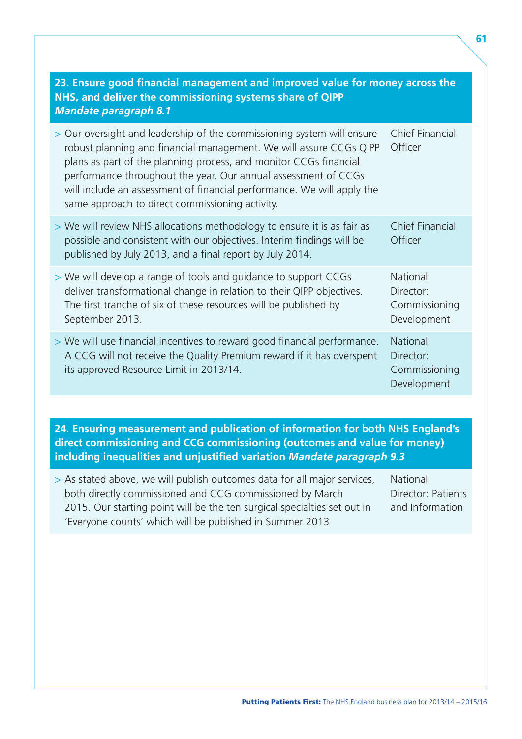| 23. Ensure good financial management and improved value for money across the<br>NHS, and deliver the commissioning systems share of QIPP<br><b>Mandate paragraph 8.1</b>                                                                                                                                                                                                                                         |                                                       |  |
|------------------------------------------------------------------------------------------------------------------------------------------------------------------------------------------------------------------------------------------------------------------------------------------------------------------------------------------------------------------------------------------------------------------|-------------------------------------------------------|--|
| > Our oversight and leadership of the commissioning system will ensure<br>robust planning and financial management. We will assure CCGs QIPP<br>plans as part of the planning process, and monitor CCGs financial<br>performance throughout the year. Our annual assessment of CCGs<br>will include an assessment of financial performance. We will apply the<br>same approach to direct commissioning activity. | Chief Financial<br>Officer                            |  |
| > We will review NHS allocations methodology to ensure it is as fair as<br>possible and consistent with our objectives. Interim findings will be<br>published by July 2013, and a final report by July 2014.                                                                                                                                                                                                     | <b>Chief Financial</b><br>Officer                     |  |
| > We will develop a range of tools and guidance to support CCGs<br>deliver transformational change in relation to their QIPP objectives.<br>The first tranche of six of these resources will be published by<br>September 2013.                                                                                                                                                                                  | National<br>Director:<br>Commissioning<br>Development |  |
| > We will use financial incentives to reward good financial performance.<br>A CCG will not receive the Quality Premium reward if it has overspent<br>its approved Resource Limit in 2013/14.                                                                                                                                                                                                                     | National<br>Director:<br>Commissioning<br>Development |  |

**24. Ensuring measurement and publication of information for both NHS England's direct commissioning and CCG commissioning (outcomes and value for money) including inequalities and unjustified variation** *Mandate paragraph 9.3* 

> As stated above, we will publish outcomes data for all major services, National both directly commissioned and CCG commissioned by March Director: Patients 2015. Our starting point will be the ten surgical specialties set out in and Information 'Everyone counts' which will be published in Summer 2013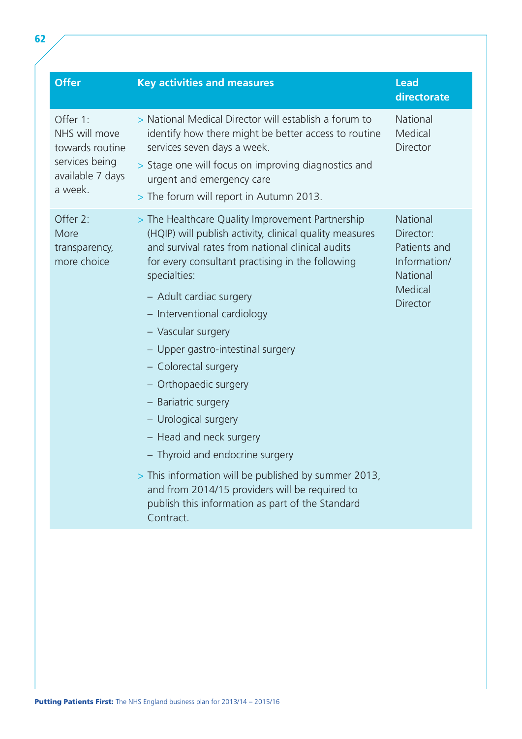| <b>Offer</b>                                                                                  | <b>Key activities and measures</b>                                                                                                                                                                                                                                                                                                                                                                                                                                                                                                                                                                                                                                                                | <b>Lead</b><br>directorate                                                               |
|-----------------------------------------------------------------------------------------------|---------------------------------------------------------------------------------------------------------------------------------------------------------------------------------------------------------------------------------------------------------------------------------------------------------------------------------------------------------------------------------------------------------------------------------------------------------------------------------------------------------------------------------------------------------------------------------------------------------------------------------------------------------------------------------------------------|------------------------------------------------------------------------------------------|
| Offer 1:<br>NHS will move<br>towards routine<br>services being<br>available 7 days<br>a week. | > National Medical Director will establish a forum to<br>identify how there might be better access to routine<br>services seven days a week.<br>> Stage one will focus on improving diagnostics and<br>urgent and emergency care<br>> The forum will report in Autumn 2013.                                                                                                                                                                                                                                                                                                                                                                                                                       | National<br>Medical<br>Director                                                          |
| Offer 2:<br>More<br>transparency,<br>more choice                                              | > The Healthcare Quality Improvement Partnership<br>(HQIP) will publish activity, clinical quality measures<br>and survival rates from national clinical audits<br>for every consultant practising in the following<br>specialties:<br>- Adult cardiac surgery<br>- Interventional cardiology<br>- Vascular surgery<br>- Upper gastro-intestinal surgery<br>- Colorectal surgery<br>- Orthopaedic surgery<br>- Bariatric surgery<br>- Urological surgery<br>- Head and neck surgery<br>- Thyroid and endocrine surgery<br>> This information will be published by summer 2013,<br>and from 2014/15 providers will be required to<br>publish this information as part of the Standard<br>Contract. | National<br>Director:<br>Patients and<br>Information/<br>National<br>Medical<br>Director |
|                                                                                               |                                                                                                                                                                                                                                                                                                                                                                                                                                                                                                                                                                                                                                                                                                   |                                                                                          |